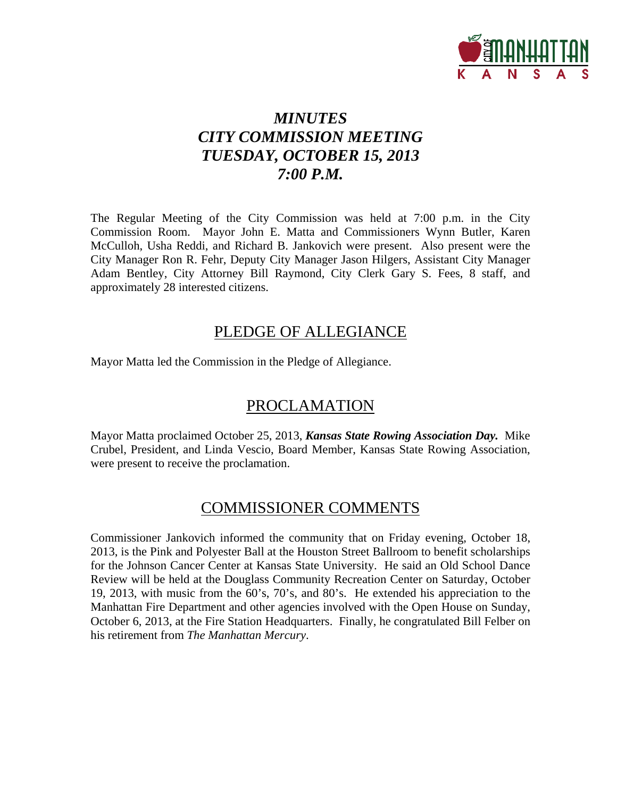

# *MINUTES CITY COMMISSION MEETING TUESDAY, OCTOBER 15, 2013 7:00 P.M.*

The Regular Meeting of the City Commission was held at 7:00 p.m. in the City Commission Room. Mayor John E. Matta and Commissioners Wynn Butler, Karen McCulloh, Usha Reddi, and Richard B. Jankovich were present. Also present were the City Manager Ron R. Fehr, Deputy City Manager Jason Hilgers, Assistant City Manager Adam Bentley, City Attorney Bill Raymond, City Clerk Gary S. Fees, 8 staff, and approximately 28 interested citizens.

## PLEDGE OF ALLEGIANCE

Mayor Matta led the Commission in the Pledge of Allegiance.

# PROCLAMATION

Mayor Matta proclaimed October 25, 2013, *Kansas State Rowing Association Day.* Mike Crubel, President, and Linda Vescio, Board Member, Kansas State Rowing Association, were present to receive the proclamation.

# COMMISSIONER COMMENTS

Commissioner Jankovich informed the community that on Friday evening, October 18, 2013, is the Pink and Polyester Ball at the Houston Street Ballroom to benefit scholarships for the Johnson Cancer Center at Kansas State University. He said an Old School Dance Review will be held at the Douglass Community Recreation Center on Saturday, October 19, 2013, with music from the 60's, 70's, and 80's. He extended his appreciation to the Manhattan Fire Department and other agencies involved with the Open House on Sunday, October 6, 2013, at the Fire Station Headquarters. Finally, he congratulated Bill Felber on his retirement from *The Manhattan Mercury*.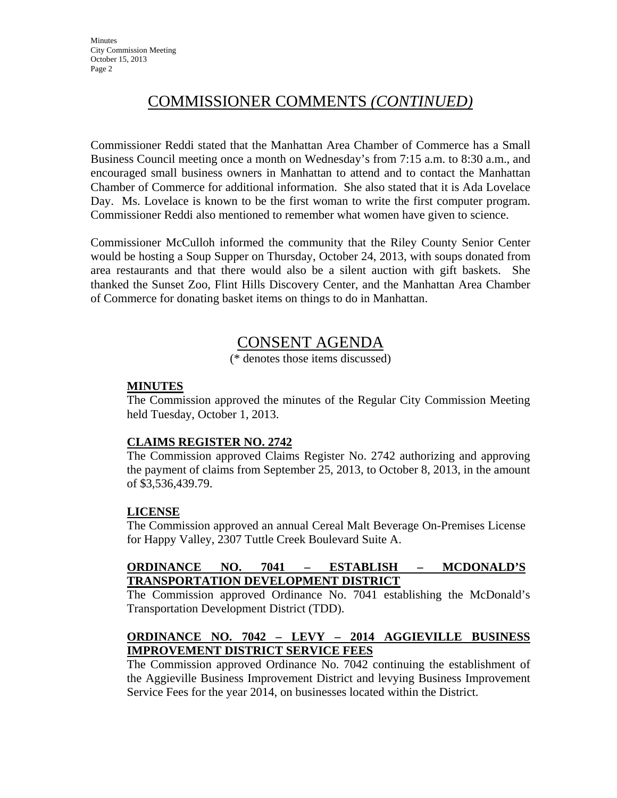# COMMISSIONER COMMENTS *(CONTINUED)*

Commissioner Reddi stated that the Manhattan Area Chamber of Commerce has a Small Business Council meeting once a month on Wednesday's from 7:15 a.m. to 8:30 a.m., and encouraged small business owners in Manhattan to attend and to contact the Manhattan Chamber of Commerce for additional information. She also stated that it is Ada Lovelace Day. Ms. Lovelace is known to be the first woman to write the first computer program. Commissioner Reddi also mentioned to remember what women have given to science.

Commissioner McCulloh informed the community that the Riley County Senior Center would be hosting a Soup Supper on Thursday, October 24, 2013, with soups donated from area restaurants and that there would also be a silent auction with gift baskets. She thanked the Sunset Zoo, Flint Hills Discovery Center, and the Manhattan Area Chamber of Commerce for donating basket items on things to do in Manhattan.

## CONSENT AGENDA

(\* denotes those items discussed)

#### **MINUTES**

The Commission approved the minutes of the Regular City Commission Meeting held Tuesday, October 1, 2013.

#### **CLAIMS REGISTER NO. 2742**

The Commission approved Claims Register No. 2742 authorizing and approving the payment of claims from September 25, 2013, to October 8, 2013, in the amount of \$3,536,439.79.

#### **LICENSE**

The Commission approved an annual Cereal Malt Beverage On-Premises License for Happy Valley, 2307 Tuttle Creek Boulevard Suite A.

#### **ORDINANCE NO. 7041 – ESTABLISH – MCDONALD'S TRANSPORTATION DEVELOPMENT DISTRICT**

The Commission approved Ordinance No. 7041 establishing the McDonald's Transportation Development District (TDD).

#### **ORDINANCE NO. 7042 – LEVY – 2014 AGGIEVILLE BUSINESS IMPROVEMENT DISTRICT SERVICE FEES**

The Commission approved Ordinance No. 7042 continuing the establishment of the Aggieville Business Improvement District and levying Business Improvement Service Fees for the year 2014, on businesses located within the District.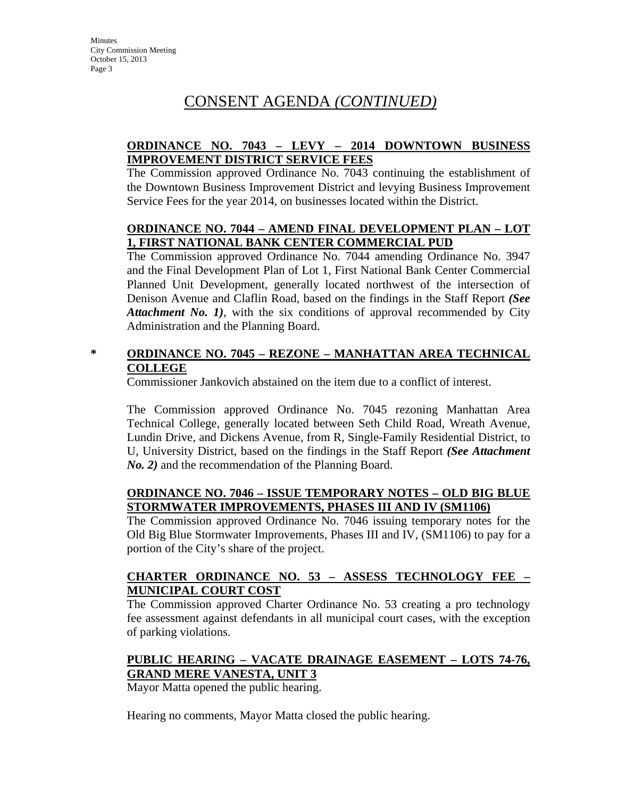### **ORDINANCE NO. 7043 – LEVY – 2014 DOWNTOWN BUSINESS IMPROVEMENT DISTRICT SERVICE FEES**

The Commission approved Ordinance No. 7043 continuing the establishment of the Downtown Business Improvement District and levying Business Improvement Service Fees for the year 2014, on businesses located within the District.

#### **ORDINANCE NO. 7044 – AMEND FINAL DEVELOPMENT PLAN – LOT 1, FIRST NATIONAL BANK CENTER COMMERCIAL PUD**

The Commission approved Ordinance No. 7044 amending Ordinance No. 3947 and the Final Development Plan of Lot 1, First National Bank Center Commercial Planned Unit Development, generally located northwest of the intersection of Denison Avenue and Claflin Road, based on the findings in the Staff Report *(See Attachment No. 1)*, with the six conditions of approval recommended by City Administration and the Planning Board.

### **\* ORDINANCE NO. 7045 – REZONE – MANHATTAN AREA TECHNICAL COLLEGE**

Commissioner Jankovich abstained on the item due to a conflict of interest.

The Commission approved Ordinance No. 7045 rezoning Manhattan Area Technical College, generally located between Seth Child Road, Wreath Avenue, Lundin Drive, and Dickens Avenue, from R, Single-Family Residential District, to U, University District, based on the findings in the Staff Report *(See Attachment No. 2)* and the recommendation of the Planning Board.

#### **ORDINANCE NO. 7046 – ISSUE TEMPORARY NOTES – OLD BIG BLUE STORMWATER IMPROVEMENTS, PHASES III AND IV (SM1106)**

The Commission approved Ordinance No. 7046 issuing temporary notes for the Old Big Blue Stormwater Improvements, Phases III and IV, (SM1106) to pay for a portion of the City's share of the project.

### **CHARTER ORDINANCE NO. 53 – ASSESS TECHNOLOGY FEE – MUNICIPAL COURT COST**

The Commission approved Charter Ordinance No. 53 creating a pro technology fee assessment against defendants in all municipal court cases, with the exception of parking violations.

### **PUBLIC HEARING – VACATE DRAINAGE EASEMENT – LOTS 74-76, GRAND MERE VANESTA, UNIT 3**

Mayor Matta opened the public hearing.

Hearing no comments, Mayor Matta closed the public hearing.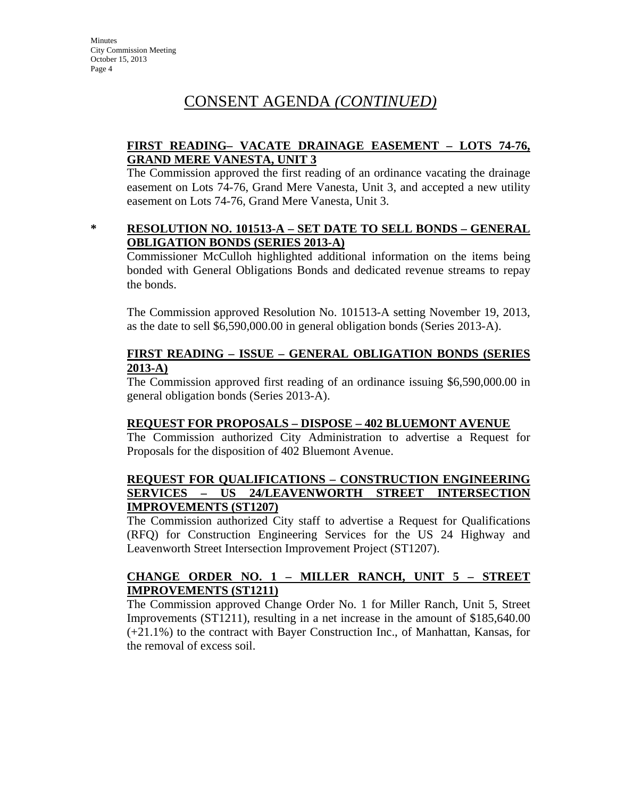#### **FIRST READING– VACATE DRAINAGE EASEMENT – LOTS 74-76, GRAND MERE VANESTA, UNIT 3**

The Commission approved the first reading of an ordinance vacating the drainage easement on Lots 74-76, Grand Mere Vanesta, Unit 3, and accepted a new utility easement on Lots 74-76, Grand Mere Vanesta, Unit 3.

#### **\* RESOLUTION NO. 101513-A – SET DATE TO SELL BONDS – GENERAL OBLIGATION BONDS (SERIES 2013-A)**

Commissioner McCulloh highlighted additional information on the items being bonded with General Obligations Bonds and dedicated revenue streams to repay the bonds.

The Commission approved Resolution No. 101513-A setting November 19, 2013, as the date to sell \$6,590,000.00 in general obligation bonds (Series 2013-A).

#### **FIRST READING – ISSUE – GENERAL OBLIGATION BONDS (SERIES 2013-A)**

The Commission approved first reading of an ordinance issuing \$6,590,000.00 in general obligation bonds (Series 2013-A).

#### **REQUEST FOR PROPOSALS – DISPOSE – 402 BLUEMONT AVENUE**

The Commission authorized City Administration to advertise a Request for Proposals for the disposition of 402 Bluemont Avenue.

#### **REQUEST FOR QUALIFICATIONS – CONSTRUCTION ENGINEERING SERVICES – US 24/LEAVENWORTH STREET INTERSECTION IMPROVEMENTS (ST1207)**

The Commission authorized City staff to advertise a Request for Qualifications (RFQ) for Construction Engineering Services for the US 24 Highway and Leavenworth Street Intersection Improvement Project (ST1207).

#### **CHANGE ORDER NO. 1 – MILLER RANCH, UNIT 5 – STREET IMPROVEMENTS (ST1211)**

The Commission approved Change Order No. 1 for Miller Ranch, Unit 5, Street Improvements (ST1211), resulting in a net increase in the amount of \$185,640.00 (+21.1%) to the contract with Bayer Construction Inc., of Manhattan, Kansas, for the removal of excess soil.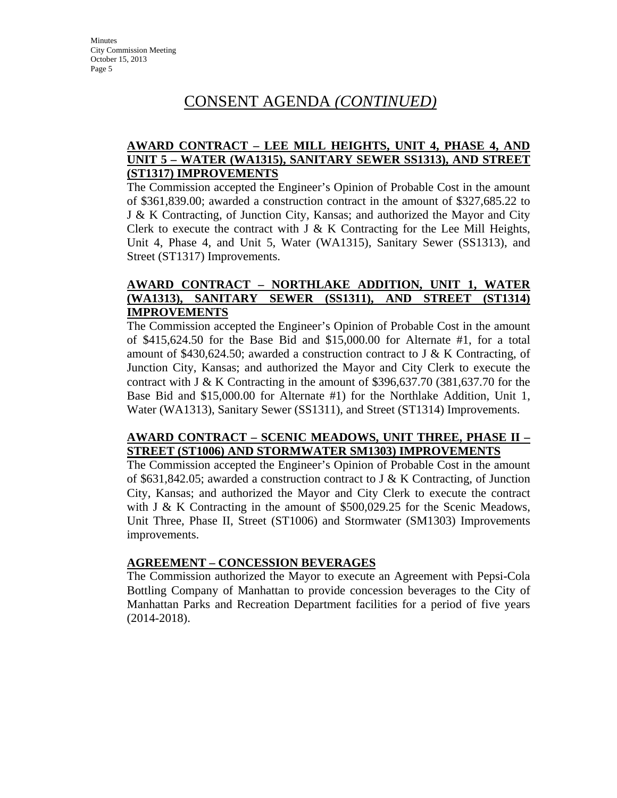#### **AWARD CONTRACT – LEE MILL HEIGHTS, UNIT 4, PHASE 4, AND UNIT 5 – WATER (WA1315), SANITARY SEWER SS1313), AND STREET (ST1317) IMPROVEMENTS**

The Commission accepted the Engineer's Opinion of Probable Cost in the amount of \$361,839.00; awarded a construction contract in the amount of \$327,685.22 to J & K Contracting, of Junction City, Kansas; and authorized the Mayor and City Clerk to execute the contract with J & K Contracting for the Lee Mill Heights, Unit 4, Phase 4, and Unit 5, Water (WA1315), Sanitary Sewer (SS1313), and Street (ST1317) Improvements.

#### **AWARD CONTRACT – NORTHLAKE ADDITION, UNIT 1, WATER (WA1313), SANITARY SEWER (SS1311), AND STREET (ST1314) IMPROVEMENTS**

The Commission accepted the Engineer's Opinion of Probable Cost in the amount of \$415,624.50 for the Base Bid and \$15,000.00 for Alternate #1, for a total amount of \$430,624.50; awarded a construction contract to J & K Contracting, of Junction City, Kansas; and authorized the Mayor and City Clerk to execute the contract with J & K Contracting in the amount of \$396,637.70 (381,637.70 for the Base Bid and \$15,000.00 for Alternate #1) for the Northlake Addition, Unit 1, Water (WA1313), Sanitary Sewer (SS1311), and Street (ST1314) Improvements.

#### **AWARD CONTRACT – SCENIC MEADOWS, UNIT THREE, PHASE II – STREET (ST1006) AND STORMWATER SM1303) IMPROVEMENTS**

The Commission accepted the Engineer's Opinion of Probable Cost in the amount of \$631,842.05; awarded a construction contract to J & K Contracting, of Junction City, Kansas; and authorized the Mayor and City Clerk to execute the contract with J & K Contracting in the amount of  $$500,029.25$  for the Scenic Meadows, Unit Three, Phase II, Street (ST1006) and Stormwater (SM1303) Improvements improvements.

#### **AGREEMENT – CONCESSION BEVERAGES**

The Commission authorized the Mayor to execute an Agreement with Pepsi-Cola Bottling Company of Manhattan to provide concession beverages to the City of Manhattan Parks and Recreation Department facilities for a period of five years (2014-2018).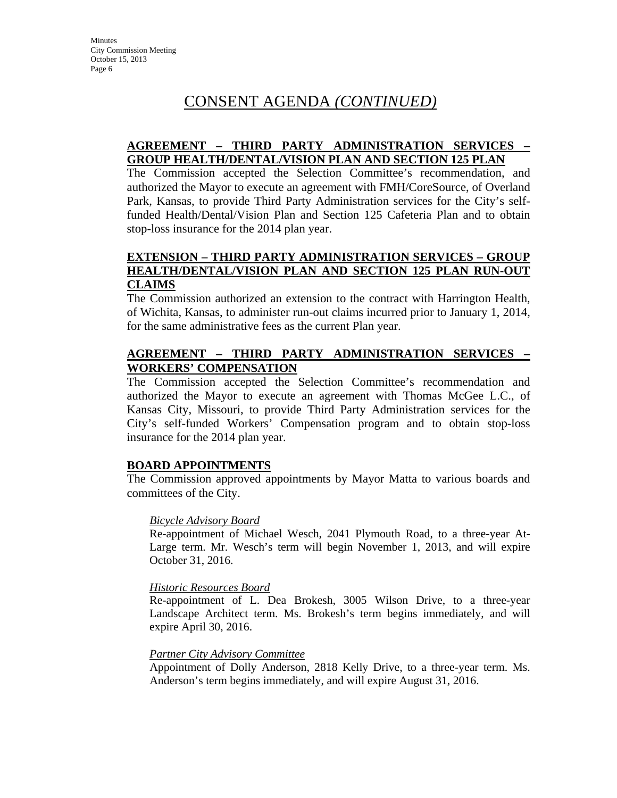#### **AGREEMENT – THIRD PARTY ADMINISTRATION SERVICES – GROUP HEALTH/DENTAL/VISION PLAN AND SECTION 125 PLAN**

The Commission accepted the Selection Committee's recommendation, and authorized the Mayor to execute an agreement with FMH/CoreSource, of Overland Park, Kansas, to provide Third Party Administration services for the City's selffunded Health/Dental/Vision Plan and Section 125 Cafeteria Plan and to obtain stop-loss insurance for the 2014 plan year.

#### **EXTENSION – THIRD PARTY ADMINISTRATION SERVICES – GROUP HEALTH/DENTAL/VISION PLAN AND SECTION 125 PLAN RUN-OUT CLAIMS**

The Commission authorized an extension to the contract with Harrington Health, of Wichita, Kansas, to administer run-out claims incurred prior to January 1, 2014, for the same administrative fees as the current Plan year.

#### **AGREEMENT – THIRD PARTY ADMINISTRATION SERVICES – WORKERS' COMPENSATION**

The Commission accepted the Selection Committee's recommendation and authorized the Mayor to execute an agreement with Thomas McGee L.C., of Kansas City, Missouri, to provide Third Party Administration services for the City's self-funded Workers' Compensation program and to obtain stop-loss insurance for the 2014 plan year.

#### **BOARD APPOINTMENTS**

The Commission approved appointments by Mayor Matta to various boards and committees of the City.

#### *Bicycle Advisory Board*

Re-appointment of Michael Wesch, 2041 Plymouth Road, to a three-year At-Large term. Mr. Wesch's term will begin November 1, 2013, and will expire October 31, 2016.

#### *Historic Resources Board*

Re-appointment of L. Dea Brokesh, 3005 Wilson Drive, to a three-year Landscape Architect term. Ms. Brokesh's term begins immediately, and will expire April 30, 2016.

#### *Partner City Advisory Committee*

Appointment of Dolly Anderson, 2818 Kelly Drive, to a three-year term. Ms. Anderson's term begins immediately, and will expire August 31, 2016.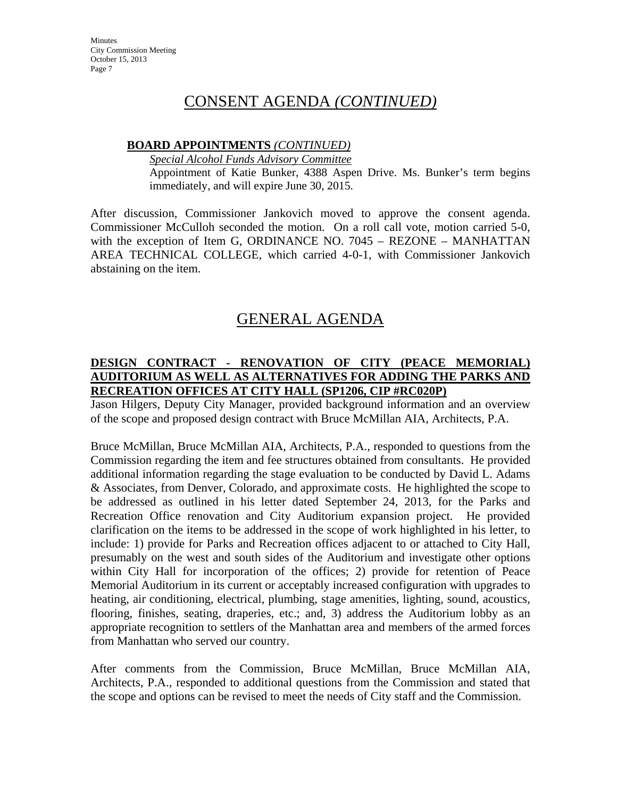## CONSENT AGENDA *(CONTINUED)*

#### **BOARD APPOINTMENTS** *(CONTINUED)*

*Special Alcohol Funds Advisory Committee*

Appointment of Katie Bunker, 4388 Aspen Drive. Ms. Bunker's term begins immediately, and will expire June 30, 2015.

After discussion, Commissioner Jankovich moved to approve the consent agenda. Commissioner McCulloh seconded the motion. On a roll call vote, motion carried 5-0, with the exception of Item G, ORDINANCE NO. 7045 – REZONE – MANHATTAN AREA TECHNICAL COLLEGE, which carried 4-0-1, with Commissioner Jankovich abstaining on the item.

# GENERAL AGENDA

#### **DESIGN CONTRACT - RENOVATION OF CITY (PEACE MEMORIAL) AUDITORIUM AS WELL AS ALTERNATIVES FOR ADDING THE PARKS AND RECREATION OFFICES AT CITY HALL (SP1206, CIP #RC020P)**

Jason Hilgers, Deputy City Manager, provided background information and an overview of the scope and proposed design contract with Bruce McMillan AIA, Architects, P.A.

Bruce McMillan, Bruce McMillan AIA, Architects, P.A., responded to questions from the Commission regarding the item and fee structures obtained from consultants. He provided additional information regarding the stage evaluation to be conducted by David L. Adams & Associates, from Denver, Colorado, and approximate costs. He highlighted the scope to be addressed as outlined in his letter dated September 24, 2013, for the Parks and Recreation Office renovation and City Auditorium expansion project. He provided clarification on the items to be addressed in the scope of work highlighted in his letter, to include: 1) provide for Parks and Recreation offices adjacent to or attached to City Hall, presumably on the west and south sides of the Auditorium and investigate other options within City Hall for incorporation of the offices; 2) provide for retention of Peace Memorial Auditorium in its current or acceptably increased configuration with upgrades to heating, air conditioning, electrical, plumbing, stage amenities, lighting, sound, acoustics, flooring, finishes, seating, draperies, etc.; and, 3) address the Auditorium lobby as an appropriate recognition to settlers of the Manhattan area and members of the armed forces from Manhattan who served our country.

After comments from the Commission, Bruce McMillan, Bruce McMillan AIA, Architects, P.A., responded to additional questions from the Commission and stated that the scope and options can be revised to meet the needs of City staff and the Commission.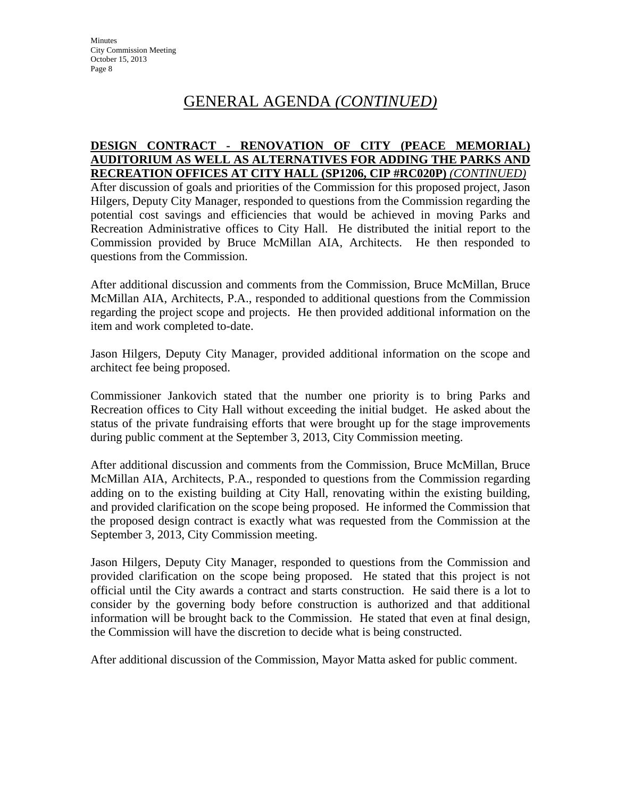# GENERAL AGENDA *(CONTINUED)*

#### **DESIGN CONTRACT - RENOVATION OF CITY (PEACE MEMORIAL) AUDITORIUM AS WELL AS ALTERNATIVES FOR ADDING THE PARKS AND RECREATION OFFICES AT CITY HALL (SP1206, CIP #RC020P)** *(CONTINUED)*

After discussion of goals and priorities of the Commission for this proposed project, Jason Hilgers, Deputy City Manager, responded to questions from the Commission regarding the potential cost savings and efficiencies that would be achieved in moving Parks and Recreation Administrative offices to City Hall. He distributed the initial report to the Commission provided by Bruce McMillan AIA, Architects. He then responded to questions from the Commission.

After additional discussion and comments from the Commission, Bruce McMillan, Bruce McMillan AIA, Architects, P.A., responded to additional questions from the Commission regarding the project scope and projects. He then provided additional information on the item and work completed to-date.

Jason Hilgers, Deputy City Manager, provided additional information on the scope and architect fee being proposed.

Commissioner Jankovich stated that the number one priority is to bring Parks and Recreation offices to City Hall without exceeding the initial budget. He asked about the status of the private fundraising efforts that were brought up for the stage improvements during public comment at the September 3, 2013, City Commission meeting.

After additional discussion and comments from the Commission, Bruce McMillan, Bruce McMillan AIA, Architects, P.A., responded to questions from the Commission regarding adding on to the existing building at City Hall, renovating within the existing building, and provided clarification on the scope being proposed. He informed the Commission that the proposed design contract is exactly what was requested from the Commission at the September 3, 2013, City Commission meeting.

Jason Hilgers, Deputy City Manager, responded to questions from the Commission and provided clarification on the scope being proposed. He stated that this project is not official until the City awards a contract and starts construction. He said there is a lot to consider by the governing body before construction is authorized and that additional information will be brought back to the Commission. He stated that even at final design, the Commission will have the discretion to decide what is being constructed.

After additional discussion of the Commission, Mayor Matta asked for public comment.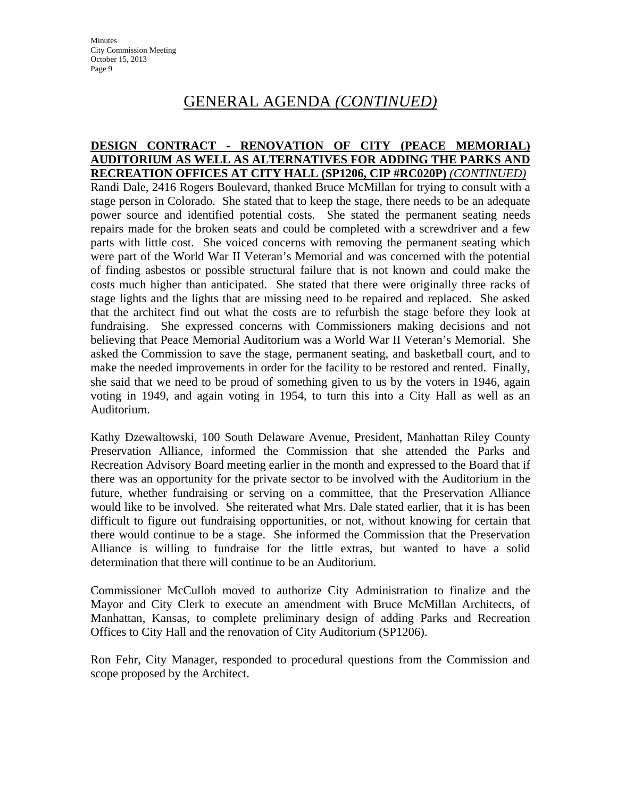## GENERAL AGENDA *(CONTINUED)*

#### **DESIGN CONTRACT - RENOVATION OF CITY (PEACE MEMORIAL) AUDITORIUM AS WELL AS ALTERNATIVES FOR ADDING THE PARKS AND RECREATION OFFICES AT CITY HALL (SP1206, CIP #RC020P)** *(CONTINUED)*

Randi Dale, 2416 Rogers Boulevard, thanked Bruce McMillan for trying to consult with a stage person in Colorado. She stated that to keep the stage, there needs to be an adequate power source and identified potential costs. She stated the permanent seating needs repairs made for the broken seats and could be completed with a screwdriver and a few parts with little cost. She voiced concerns with removing the permanent seating which were part of the World War II Veteran's Memorial and was concerned with the potential of finding asbestos or possible structural failure that is not known and could make the costs much higher than anticipated. She stated that there were originally three racks of stage lights and the lights that are missing need to be repaired and replaced. She asked that the architect find out what the costs are to refurbish the stage before they look at fundraising. She expressed concerns with Commissioners making decisions and not believing that Peace Memorial Auditorium was a World War II Veteran's Memorial. She asked the Commission to save the stage, permanent seating, and basketball court, and to make the needed improvements in order for the facility to be restored and rented. Finally, she said that we need to be proud of something given to us by the voters in 1946, again voting in 1949, and again voting in 1954, to turn this into a City Hall as well as an Auditorium.

Kathy Dzewaltowski, 100 South Delaware Avenue, President, Manhattan Riley County Preservation Alliance, informed the Commission that she attended the Parks and Recreation Advisory Board meeting earlier in the month and expressed to the Board that if there was an opportunity for the private sector to be involved with the Auditorium in the future, whether fundraising or serving on a committee, that the Preservation Alliance would like to be involved. She reiterated what Mrs. Dale stated earlier, that it is has been difficult to figure out fundraising opportunities, or not, without knowing for certain that there would continue to be a stage. She informed the Commission that the Preservation Alliance is willing to fundraise for the little extras, but wanted to have a solid determination that there will continue to be an Auditorium.

Commissioner McCulloh moved to authorize City Administration to finalize and the Mayor and City Clerk to execute an amendment with Bruce McMillan Architects, of Manhattan, Kansas, to complete preliminary design of adding Parks and Recreation Offices to City Hall and the renovation of City Auditorium (SP1206).

Ron Fehr, City Manager, responded to procedural questions from the Commission and scope proposed by the Architect.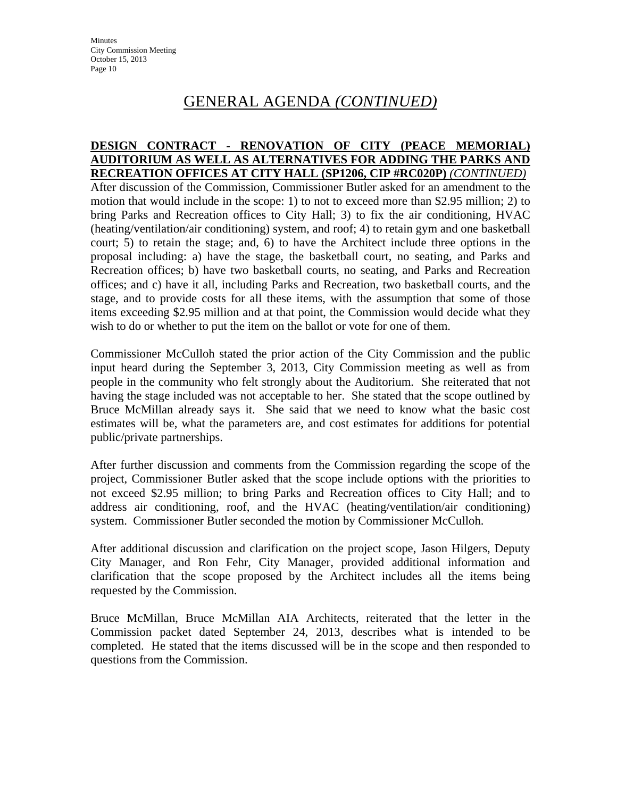# GENERAL AGENDA *(CONTINUED)*

#### **DESIGN CONTRACT - RENOVATION OF CITY (PEACE MEMORIAL) AUDITORIUM AS WELL AS ALTERNATIVES FOR ADDING THE PARKS AND RECREATION OFFICES AT CITY HALL (SP1206, CIP #RC020P)** *(CONTINUED)*

After discussion of the Commission, Commissioner Butler asked for an amendment to the motion that would include in the scope: 1) to not to exceed more than \$2.95 million; 2) to bring Parks and Recreation offices to City Hall; 3) to fix the air conditioning, HVAC (heating/ventilation/air conditioning) system, and roof; 4) to retain gym and one basketball court; 5) to retain the stage; and, 6) to have the Architect include three options in the proposal including: a) have the stage, the basketball court, no seating, and Parks and Recreation offices; b) have two basketball courts, no seating, and Parks and Recreation offices; and c) have it all, including Parks and Recreation, two basketball courts, and the stage, and to provide costs for all these items, with the assumption that some of those items exceeding \$2.95 million and at that point, the Commission would decide what they wish to do or whether to put the item on the ballot or vote for one of them.

Commissioner McCulloh stated the prior action of the City Commission and the public input heard during the September 3, 2013, City Commission meeting as well as from people in the community who felt strongly about the Auditorium. She reiterated that not having the stage included was not acceptable to her. She stated that the scope outlined by Bruce McMillan already says it. She said that we need to know what the basic cost estimates will be, what the parameters are, and cost estimates for additions for potential public/private partnerships.

After further discussion and comments from the Commission regarding the scope of the project, Commissioner Butler asked that the scope include options with the priorities to not exceed \$2.95 million; to bring Parks and Recreation offices to City Hall; and to address air conditioning, roof, and the HVAC (heating/ventilation/air conditioning) system. Commissioner Butler seconded the motion by Commissioner McCulloh.

After additional discussion and clarification on the project scope, Jason Hilgers, Deputy City Manager, and Ron Fehr, City Manager, provided additional information and clarification that the scope proposed by the Architect includes all the items being requested by the Commission.

Bruce McMillan, Bruce McMillan AIA Architects, reiterated that the letter in the Commission packet dated September 24, 2013, describes what is intended to be completed. He stated that the items discussed will be in the scope and then responded to questions from the Commission.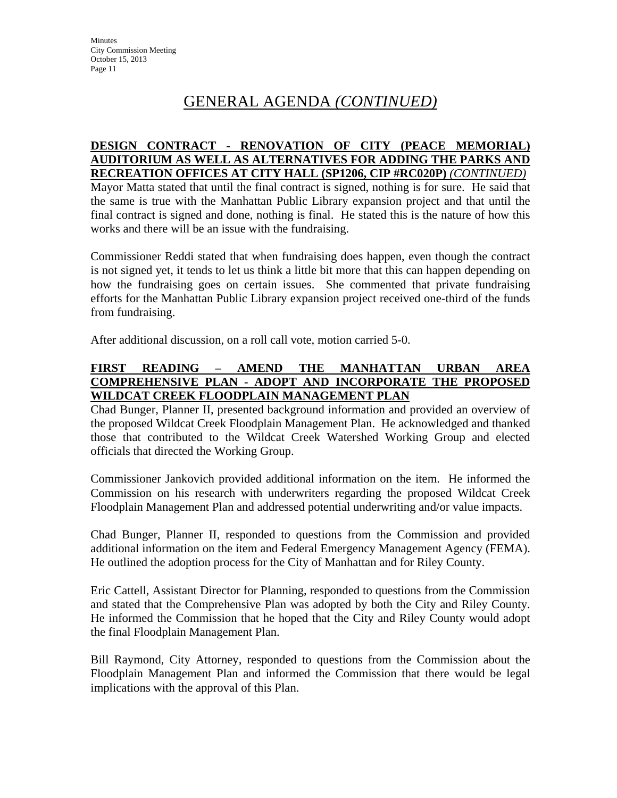# GENERAL AGENDA *(CONTINUED)*

#### **DESIGN CONTRACT - RENOVATION OF CITY (PEACE MEMORIAL) AUDITORIUM AS WELL AS ALTERNATIVES FOR ADDING THE PARKS AND RECREATION OFFICES AT CITY HALL (SP1206, CIP #RC020P)** *(CONTINUED)*

Mayor Matta stated that until the final contract is signed, nothing is for sure. He said that the same is true with the Manhattan Public Library expansion project and that until the final contract is signed and done, nothing is final. He stated this is the nature of how this works and there will be an issue with the fundraising.

Commissioner Reddi stated that when fundraising does happen, even though the contract is not signed yet, it tends to let us think a little bit more that this can happen depending on how the fundraising goes on certain issues. She commented that private fundraising efforts for the Manhattan Public Library expansion project received one-third of the funds from fundraising.

After additional discussion, on a roll call vote, motion carried 5-0.

#### **FIRST READING – AMEND THE MANHATTAN URBAN AREA COMPREHENSIVE PLAN - ADOPT AND INCORPORATE THE PROPOSED WILDCAT CREEK FLOODPLAIN MANAGEMENT PLAN**

Chad Bunger, Planner II, presented background information and provided an overview of the proposed Wildcat Creek Floodplain Management Plan. He acknowledged and thanked those that contributed to the Wildcat Creek Watershed Working Group and elected officials that directed the Working Group.

Commissioner Jankovich provided additional information on the item. He informed the Commission on his research with underwriters regarding the proposed Wildcat Creek Floodplain Management Plan and addressed potential underwriting and/or value impacts.

Chad Bunger, Planner II, responded to questions from the Commission and provided additional information on the item and Federal Emergency Management Agency (FEMA). He outlined the adoption process for the City of Manhattan and for Riley County.

Eric Cattell, Assistant Director for Planning, responded to questions from the Commission and stated that the Comprehensive Plan was adopted by both the City and Riley County. He informed the Commission that he hoped that the City and Riley County would adopt the final Floodplain Management Plan.

Bill Raymond, City Attorney, responded to questions from the Commission about the Floodplain Management Plan and informed the Commission that there would be legal implications with the approval of this Plan.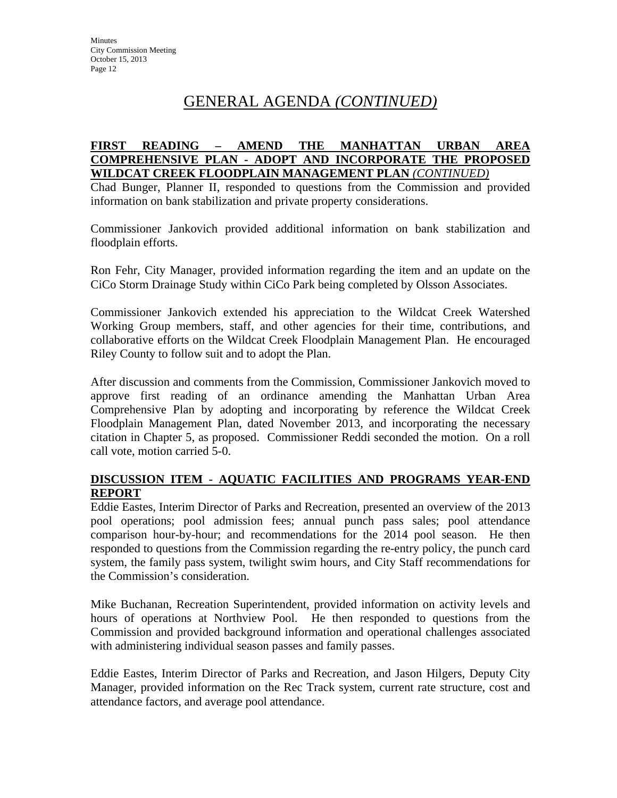# GENERAL AGENDA *(CONTINUED)*

#### **FIRST READING – AMEND THE MANHATTAN URBAN AREA COMPREHENSIVE PLAN - ADOPT AND INCORPORATE THE PROPOSED WILDCAT CREEK FLOODPLAIN MANAGEMENT PLAN** *(CONTINUED)*

Chad Bunger, Planner II, responded to questions from the Commission and provided information on bank stabilization and private property considerations.

Commissioner Jankovich provided additional information on bank stabilization and floodplain efforts.

Ron Fehr, City Manager, provided information regarding the item and an update on the CiCo Storm Drainage Study within CiCo Park being completed by Olsson Associates.

Commissioner Jankovich extended his appreciation to the Wildcat Creek Watershed Working Group members, staff, and other agencies for their time, contributions, and collaborative efforts on the Wildcat Creek Floodplain Management Plan. He encouraged Riley County to follow suit and to adopt the Plan.

After discussion and comments from the Commission, Commissioner Jankovich moved to approve first reading of an ordinance amending the Manhattan Urban Area Comprehensive Plan by adopting and incorporating by reference the Wildcat Creek Floodplain Management Plan, dated November 2013, and incorporating the necessary citation in Chapter 5, as proposed. Commissioner Reddi seconded the motion. On a roll call vote, motion carried 5-0.

#### **DISCUSSION ITEM - AQUATIC FACILITIES AND PROGRAMS YEAR-END REPORT**

Eddie Eastes, Interim Director of Parks and Recreation, presented an overview of the 2013 pool operations; pool admission fees; annual punch pass sales; pool attendance comparison hour-by-hour; and recommendations for the 2014 pool season. He then responded to questions from the Commission regarding the re-entry policy, the punch card system, the family pass system, twilight swim hours, and City Staff recommendations for the Commission's consideration.

Mike Buchanan, Recreation Superintendent, provided information on activity levels and hours of operations at Northview Pool. He then responded to questions from the Commission and provided background information and operational challenges associated with administering individual season passes and family passes.

Eddie Eastes, Interim Director of Parks and Recreation, and Jason Hilgers, Deputy City Manager, provided information on the Rec Track system, current rate structure, cost and attendance factors, and average pool attendance.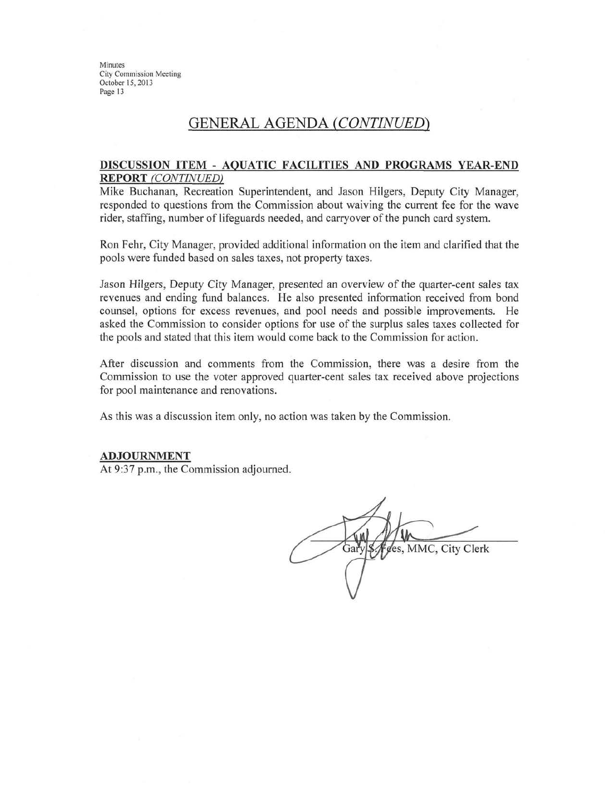## **GENERAL AGENDA (CONTINUED)**

#### DISCUSSION ITEM - AQUATIC FACILITIES AND PROGRAMS YEAR-END **REPORT** (CONTINUED)

Mike Buchanan, Recreation Superintendent, and Jason Hilgers, Deputy City Manager, responded to questions from the Commission about waiving the current fee for the wave rider, staffing, number of lifeguards needed, and carryover of the punch card system.

Ron Fehr, City Manager, provided additional information on the item and clarified that the pools were funded based on sales taxes, not property taxes.

Jason Hilgers, Deputy City Manager, presented an overview of the quarter-cent sales tax revenues and ending fund balances. He also presented information received from bond counsel, options for excess revenues, and pool needs and possible improvements. He asked the Commission to consider options for use of the surplus sales taxes collected for the pools and stated that this item would come back to the Commission for action.

After discussion and comments from the Commission, there was a desire from the Commission to use the voter approved quarter-cent sales tax received above projections for pool maintenance and renovations.

As this was a discussion item only, no action was taken by the Commission.

#### **ADJOURNMENT**

At 9:37 p.m., the Commission adjourned.

ces, MMC, City Clerk Gar'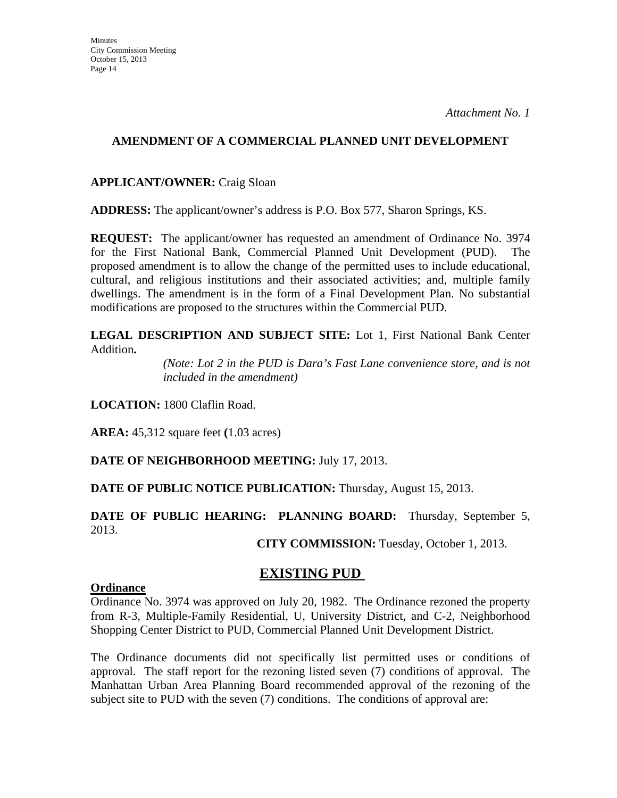#### **AMENDMENT OF A COMMERCIAL PLANNED UNIT DEVELOPMENT**

#### **APPLICANT/OWNER:** Craig Sloan

**ADDRESS:** The applicant/owner's address is P.O. Box 577, Sharon Springs, KS.

**REQUEST:** The applicant/owner has requested an amendment of Ordinance No. 3974 for the First National Bank, Commercial Planned Unit Development (PUD). proposed amendment is to allow the change of the permitted uses to include educational, cultural, and religious institutions and their associated activities; and, multiple family dwellings. The amendment is in the form of a Final Development Plan. No substantial modifications are proposed to the structures within the Commercial PUD.

**LEGAL DESCRIPTION AND SUBJECT SITE:** Lot 1, First National Bank Center Addition**.** 

> *(Note: Lot 2 in the PUD is Dara's Fast Lane convenience store, and is not included in the amendment)*

**LOCATION:** 1800 Claflin Road.

**AREA:** 45,312 square feet **(**1.03 acres)

**DATE OF NEIGHBORHOOD MEETING:** July 17, 2013.

**DATE OF PUBLIC NOTICE PUBLICATION:** Thursday, August 15, 2013.

### **DATE OF PUBLIC HEARING: PLANNING BOARD:** Thursday, September 5, 2013.

**CITY COMMISSION:** Tuesday, October 1, 2013.

## **EXISTING PUD**

#### **Ordinance**

Ordinance No. 3974 was approved on July 20, 1982. The Ordinance rezoned the property from R-3, Multiple-Family Residential, U, University District, and C-2, Neighborhood Shopping Center District to PUD, Commercial Planned Unit Development District.

The Ordinance documents did not specifically list permitted uses or conditions of approval. The staff report for the rezoning listed seven (7) conditions of approval. The Manhattan Urban Area Planning Board recommended approval of the rezoning of the subject site to PUD with the seven (7) conditions. The conditions of approval are: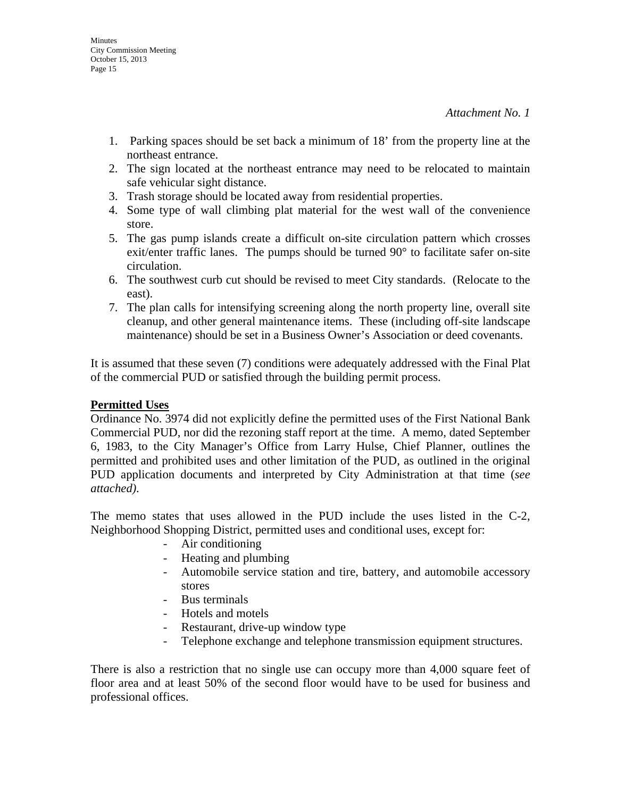- 1. Parking spaces should be set back a minimum of 18' from the property line at the northeast entrance.
- 2. The sign located at the northeast entrance may need to be relocated to maintain safe vehicular sight distance.
- 3. Trash storage should be located away from residential properties.
- 4. Some type of wall climbing plat material for the west wall of the convenience store.
- 5. The gas pump islands create a difficult on-site circulation pattern which crosses exit/enter traffic lanes. The pumps should be turned 90° to facilitate safer on-site circulation.
- 6. The southwest curb cut should be revised to meet City standards. (Relocate to the east).
- 7. The plan calls for intensifying screening along the north property line, overall site cleanup, and other general maintenance items. These (including off-site landscape maintenance) should be set in a Business Owner's Association or deed covenants.

It is assumed that these seven (7) conditions were adequately addressed with the Final Plat of the commercial PUD or satisfied through the building permit process.

### **Permitted Uses**

Ordinance No. 3974 did not explicitly define the permitted uses of the First National Bank Commercial PUD, nor did the rezoning staff report at the time. A memo, dated September 6, 1983, to the City Manager's Office from Larry Hulse, Chief Planner, outlines the permitted and prohibited uses and other limitation of the PUD, as outlined in the original PUD application documents and interpreted by City Administration at that time (*see attached)*.

The memo states that uses allowed in the PUD include the uses listed in the C-2, Neighborhood Shopping District, permitted uses and conditional uses, except for:

- Air conditioning
- Heating and plumbing
- Automobile service station and tire, battery, and automobile accessory stores
- Bus terminals
- Hotels and motels
- Restaurant, drive-up window type
- Telephone exchange and telephone transmission equipment structures.

There is also a restriction that no single use can occupy more than 4,000 square feet of floor area and at least 50% of the second floor would have to be used for business and professional offices.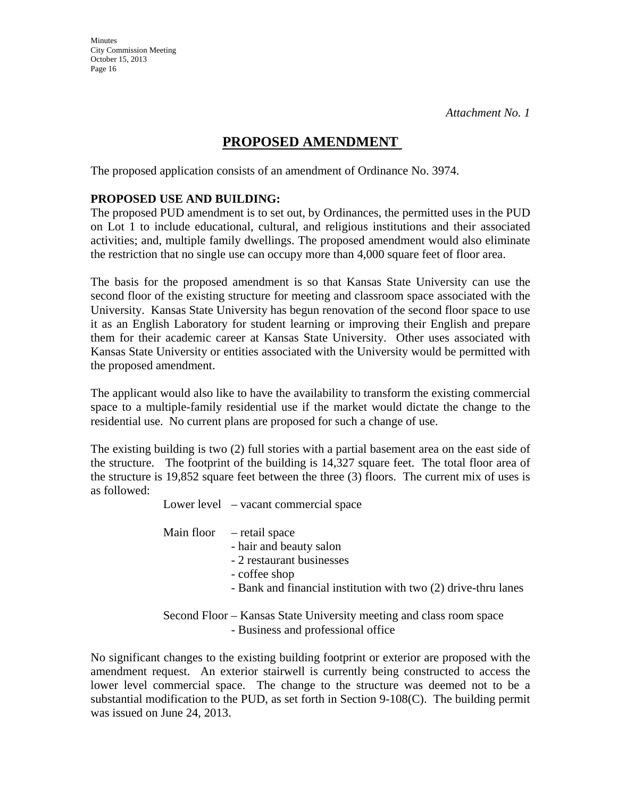## **PROPOSED AMENDMENT**

The proposed application consists of an amendment of Ordinance No. 3974.

### **PROPOSED USE AND BUILDING:**

The proposed PUD amendment is to set out, by Ordinances, the permitted uses in the PUD on Lot 1 to include educational, cultural, and religious institutions and their associated activities; and, multiple family dwellings. The proposed amendment would also eliminate the restriction that no single use can occupy more than 4,000 square feet of floor area.

The basis for the proposed amendment is so that Kansas State University can use the second floor of the existing structure for meeting and classroom space associated with the University. Kansas State University has begun renovation of the second floor space to use it as an English Laboratory for student learning or improving their English and prepare them for their academic career at Kansas State University. Other uses associated with Kansas State University or entities associated with the University would be permitted with the proposed amendment.

The applicant would also like to have the availability to transform the existing commercial space to a multiple-family residential use if the market would dictate the change to the residential use. No current plans are proposed for such a change of use.

The existing building is two (2) full stories with a partial basement area on the east side of the structure. The footprint of the building is 14,327 square feet. The total floor area of the structure is 19,852 square feet between the three (3) floors. The current mix of uses is as followed:

Lower level – vacant commercial space

Main floor – retail space

- hair and beauty salon
- 2 restaurant businesses
- coffee shop
- Bank and financial institution with two (2) drive-thru lanes

 Second Floor – Kansas State University meeting and class room space - Business and professional office

No significant changes to the existing building footprint or exterior are proposed with the amendment request. An exterior stairwell is currently being constructed to access the lower level commercial space. The change to the structure was deemed not to be a substantial modification to the PUD, as set forth in Section 9-108(C). The building permit was issued on June 24, 2013.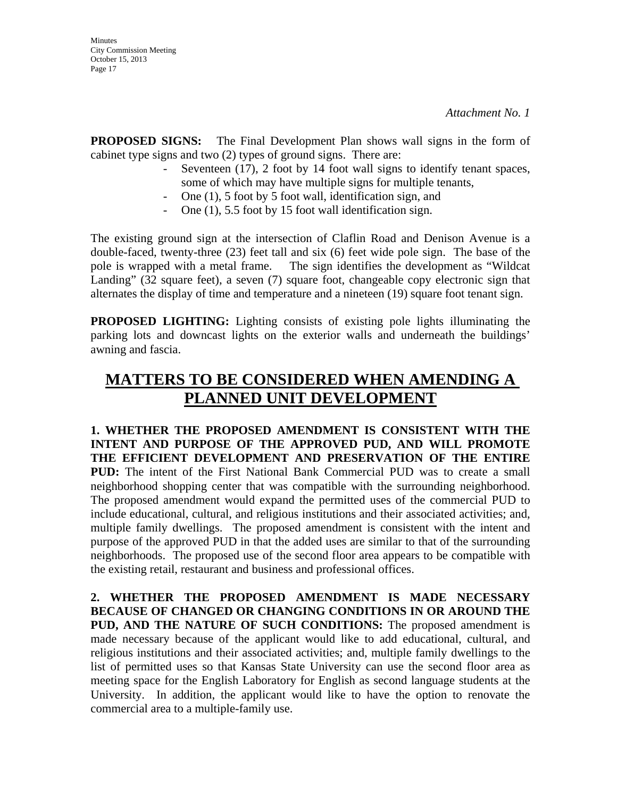**PROPOSED SIGNS:** The Final Development Plan shows wall signs in the form of cabinet type signs and two (2) types of ground signs. There are:

- Seventeen (17), 2 foot by 14 foot wall signs to identify tenant spaces, some of which may have multiple signs for multiple tenants,
- One (1), 5 foot by 5 foot wall, identification sign, and
- One (1), 5.5 foot by 15 foot wall identification sign.

The existing ground sign at the intersection of Claflin Road and Denison Avenue is a double-faced, twenty-three (23) feet tall and six (6) feet wide pole sign. The base of the pole is wrapped with a metal frame. The sign identifies the development as "Wildcat Landing" (32 square feet), a seven (7) square foot, changeable copy electronic sign that alternates the display of time and temperature and a nineteen (19) square foot tenant sign.

**PROPOSED LIGHTING:** Lighting consists of existing pole lights illuminating the parking lots and downcast lights on the exterior walls and underneath the buildings' awning and fascia.

# **MATTERS TO BE CONSIDERED WHEN AMENDING A PLANNED UNIT DEVELOPMENT**

**1. WHETHER THE PROPOSED AMENDMENT IS CONSISTENT WITH THE INTENT AND PURPOSE OF THE APPROVED PUD, AND WILL PROMOTE THE EFFICIENT DEVELOPMENT AND PRESERVATION OF THE ENTIRE PUD:** The intent of the First National Bank Commercial PUD was to create a small neighborhood shopping center that was compatible with the surrounding neighborhood. The proposed amendment would expand the permitted uses of the commercial PUD to include educational, cultural, and religious institutions and their associated activities; and, multiple family dwellings. The proposed amendment is consistent with the intent and purpose of the approved PUD in that the added uses are similar to that of the surrounding neighborhoods. The proposed use of the second floor area appears to be compatible with the existing retail, restaurant and business and professional offices.

**2. WHETHER THE PROPOSED AMENDMENT IS MADE NECESSARY BECAUSE OF CHANGED OR CHANGING CONDITIONS IN OR AROUND THE PUD, AND THE NATURE OF SUCH CONDITIONS:** The proposed amendment is made necessary because of the applicant would like to add educational, cultural, and religious institutions and their associated activities; and, multiple family dwellings to the list of permitted uses so that Kansas State University can use the second floor area as meeting space for the English Laboratory for English as second language students at the University. In addition, the applicant would like to have the option to renovate the commercial area to a multiple-family use.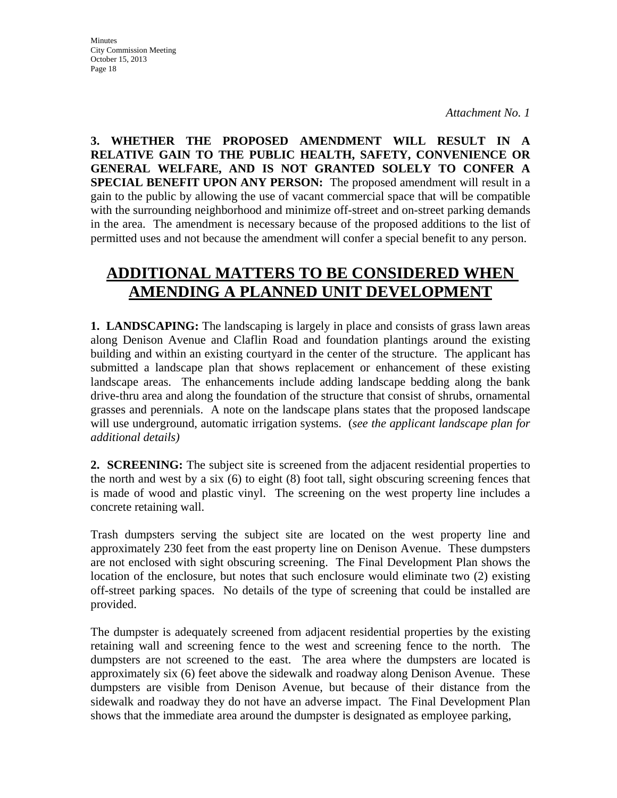**3. WHETHER THE PROPOSED AMENDMENT WILL RESULT IN A RELATIVE GAIN TO THE PUBLIC HEALTH, SAFETY, CONVENIENCE OR GENERAL WELFARE, AND IS NOT GRANTED SOLELY TO CONFER A SPECIAL BENEFIT UPON ANY PERSON:** The proposed amendment will result in a gain to the public by allowing the use of vacant commercial space that will be compatible with the surrounding neighborhood and minimize off-street and on-street parking demands in the area. The amendment is necessary because of the proposed additions to the list of permitted uses and not because the amendment will confer a special benefit to any person.

# **ADDITIONAL MATTERS TO BE CONSIDERED WHEN AMENDING A PLANNED UNIT DEVELOPMENT**

**1. LANDSCAPING:** The landscaping is largely in place and consists of grass lawn areas along Denison Avenue and Claflin Road and foundation plantings around the existing building and within an existing courtyard in the center of the structure. The applicant has submitted a landscape plan that shows replacement or enhancement of these existing landscape areas. The enhancements include adding landscape bedding along the bank drive-thru area and along the foundation of the structure that consist of shrubs, ornamental grasses and perennials. A note on the landscape plans states that the proposed landscape will use underground, automatic irrigation systems. (*see the applicant landscape plan for additional details)*

2. **SCREENING:** The subject site is screened from the adjacent residential properties to the north and west by a six (6) to eight (8) foot tall, sight obscuring screening fences that is made of wood and plastic vinyl. The screening on the west property line includes a concrete retaining wall.

Trash dumpsters serving the subject site are located on the west property line and approximately 230 feet from the east property line on Denison Avenue. These dumpsters are not enclosed with sight obscuring screening. The Final Development Plan shows the location of the enclosure, but notes that such enclosure would eliminate two (2) existing off-street parking spaces. No details of the type of screening that could be installed are provided.

The dumpster is adequately screened from adjacent residential properties by the existing retaining wall and screening fence to the west and screening fence to the north. The dumpsters are not screened to the east. The area where the dumpsters are located is approximately six (6) feet above the sidewalk and roadway along Denison Avenue. These dumpsters are visible from Denison Avenue, but because of their distance from the sidewalk and roadway they do not have an adverse impact. The Final Development Plan shows that the immediate area around the dumpster is designated as employee parking,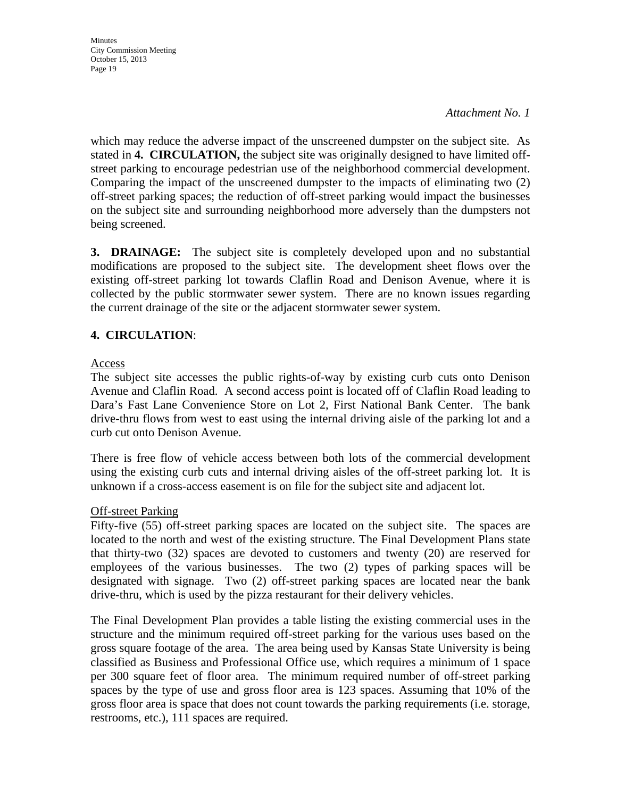#### *Attachment No. 1*

which may reduce the adverse impact of the unscreened dumpster on the subject site. As stated in **4. CIRCULATION,** the subject site was originally designed to have limited offstreet parking to encourage pedestrian use of the neighborhood commercial development. Comparing the impact of the unscreened dumpster to the impacts of eliminating two (2) off-street parking spaces; the reduction of off-street parking would impact the businesses on the subject site and surrounding neighborhood more adversely than the dumpsters not being screened.

**3. DRAINAGE:** The subject site is completely developed upon and no substantial modifications are proposed to the subject site. The development sheet flows over the existing off-street parking lot towards Claflin Road and Denison Avenue, where it is collected by the public stormwater sewer system. There are no known issues regarding the current drainage of the site or the adjacent stormwater sewer system.

#### **4. CIRCULATION**:

#### Access

The subject site accesses the public rights-of-way by existing curb cuts onto Denison Avenue and Claflin Road. A second access point is located off of Claflin Road leading to Dara's Fast Lane Convenience Store on Lot 2, First National Bank Center. The bank drive-thru flows from west to east using the internal driving aisle of the parking lot and a curb cut onto Denison Avenue.

There is free flow of vehicle access between both lots of the commercial development using the existing curb cuts and internal driving aisles of the off-street parking lot. It is unknown if a cross-access easement is on file for the subject site and adjacent lot.

#### Off-street Parking

Fifty-five (55) off-street parking spaces are located on the subject site. The spaces are located to the north and west of the existing structure. The Final Development Plans state that thirty-two (32) spaces are devoted to customers and twenty (20) are reserved for employees of the various businesses. The two (2) types of parking spaces will be designated with signage. Two (2) off-street parking spaces are located near the bank drive-thru, which is used by the pizza restaurant for their delivery vehicles.

The Final Development Plan provides a table listing the existing commercial uses in the structure and the minimum required off-street parking for the various uses based on the gross square footage of the area. The area being used by Kansas State University is being classified as Business and Professional Office use, which requires a minimum of 1 space per 300 square feet of floor area. The minimum required number of off-street parking spaces by the type of use and gross floor area is 123 spaces. Assuming that 10% of the gross floor area is space that does not count towards the parking requirements (i.e. storage, restrooms, etc.), 111 spaces are required.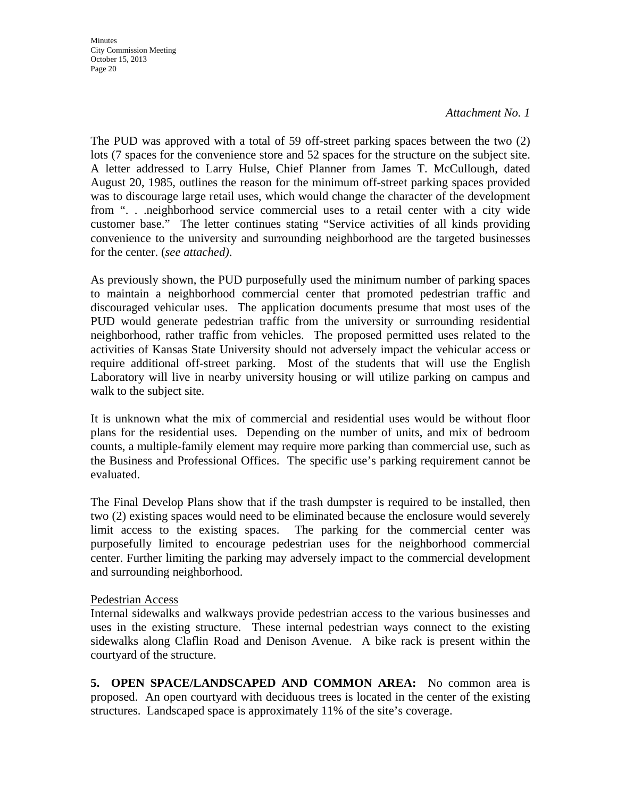#### *Attachment No. 1*

The PUD was approved with a total of 59 off-street parking spaces between the two (2) lots (7 spaces for the convenience store and 52 spaces for the structure on the subject site. A letter addressed to Larry Hulse, Chief Planner from James T. McCullough, dated August 20, 1985, outlines the reason for the minimum off-street parking spaces provided was to discourage large retail uses, which would change the character of the development from ". . .neighborhood service commercial uses to a retail center with a city wide customer base." The letter continues stating "Service activities of all kinds providing convenience to the university and surrounding neighborhood are the targeted businesses for the center. (*see attached)*.

As previously shown, the PUD purposefully used the minimum number of parking spaces to maintain a neighborhood commercial center that promoted pedestrian traffic and discouraged vehicular uses. The application documents presume that most uses of the PUD would generate pedestrian traffic from the university or surrounding residential neighborhood, rather traffic from vehicles. The proposed permitted uses related to the activities of Kansas State University should not adversely impact the vehicular access or require additional off-street parking. Most of the students that will use the English Laboratory will live in nearby university housing or will utilize parking on campus and walk to the subject site.

It is unknown what the mix of commercial and residential uses would be without floor plans for the residential uses. Depending on the number of units, and mix of bedroom counts, a multiple-family element may require more parking than commercial use, such as the Business and Professional Offices. The specific use's parking requirement cannot be evaluated.

The Final Develop Plans show that if the trash dumpster is required to be installed, then two (2) existing spaces would need to be eliminated because the enclosure would severely limit access to the existing spaces. The parking for the commercial center was purposefully limited to encourage pedestrian uses for the neighborhood commercial center. Further limiting the parking may adversely impact to the commercial development and surrounding neighborhood.

#### Pedestrian Access

Internal sidewalks and walkways provide pedestrian access to the various businesses and uses in the existing structure. These internal pedestrian ways connect to the existing sidewalks along Claflin Road and Denison Avenue. A bike rack is present within the courtyard of the structure.

**5. OPEN SPACE/LANDSCAPED AND COMMON AREA:** No common area is proposed. An open courtyard with deciduous trees is located in the center of the existing structures. Landscaped space is approximately 11% of the site's coverage.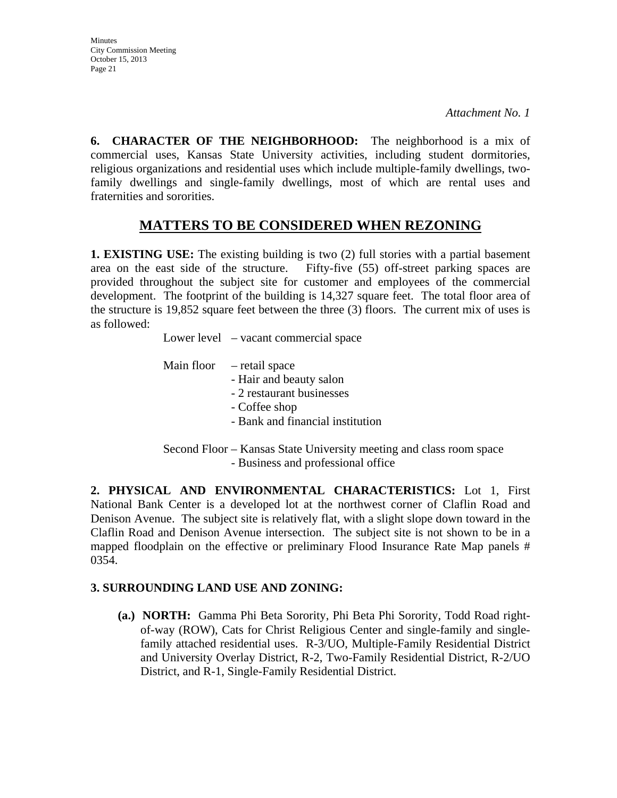**Minutes** City Commission Meeting October 15, 2013 Page 21

**6. CHARACTER OF THE NEIGHBORHOOD:** The neighborhood is a mix of commercial uses, Kansas State University activities, including student dormitories, religious organizations and residential uses which include multiple-family dwellings, twofamily dwellings and single-family dwellings, most of which are rental uses and fraternities and sororities.

## **MATTERS TO BE CONSIDERED WHEN REZONING**

**1. EXISTING USE:** The existing building is two (2) full stories with a partial basement area on the east side of the structure. Fifty-five (55) off-street parking spaces are provided throughout the subject site for customer and employees of the commercial development. The footprint of the building is 14,327 square feet. The total floor area of the structure is 19,852 square feet between the three (3) floors. The current mix of uses is as followed:

Lower level – vacant commercial space

|  | Main floor $-$ retail space        |
|--|------------------------------------|
|  | - Hair and beauty salon            |
|  | - 2 restaurant businesses          |
|  | - Coffee shop                      |
|  | - Bank and financial institution   |
|  |                                    |
|  | $\alpha$ in $\alpha$ , it $\alpha$ |

 Second Floor – Kansas State University meeting and class room space - Business and professional office

**2. PHYSICAL AND ENVIRONMENTAL CHARACTERISTICS:** Lot 1, First National Bank Center is a developed lot at the northwest corner of Claflin Road and Denison Avenue. The subject site is relatively flat, with a slight slope down toward in the Claflin Road and Denison Avenue intersection. The subject site is not shown to be in a mapped floodplain on the effective or preliminary Flood Insurance Rate Map panels # 0354.

#### **3. SURROUNDING LAND USE AND ZONING:**

**(a.) NORTH:** Gamma Phi Beta Sorority, Phi Beta Phi Sorority, Todd Road rightof-way (ROW), Cats for Christ Religious Center and single-family and singlefamily attached residential uses. R-3/UO, Multiple-Family Residential District and University Overlay District, R-2, Two-Family Residential District, R-2/UO District, and R-1, Single-Family Residential District.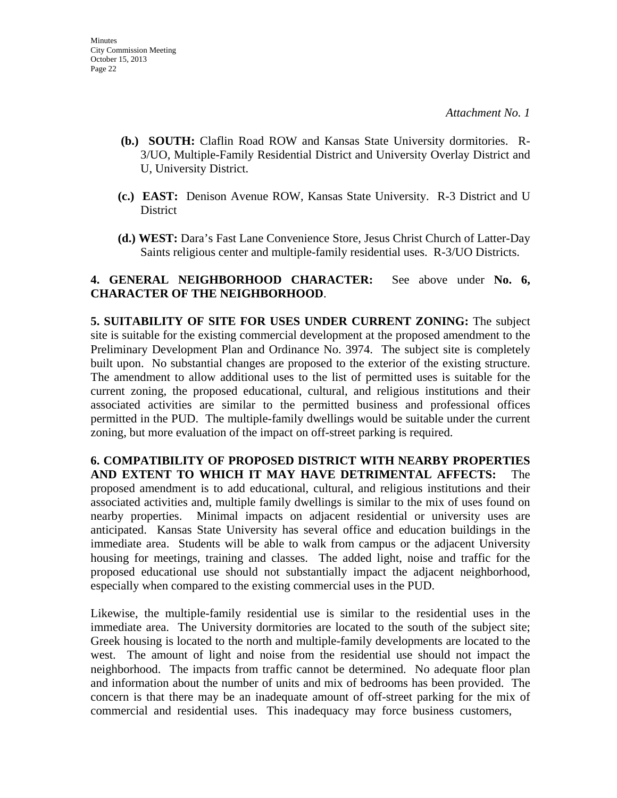- **(b.) SOUTH:** Claflin Road ROW and Kansas State University dormitories. R-3/UO, Multiple-Family Residential District and University Overlay District and U, University District.
- **(c.) EAST:** Denison Avenue ROW, Kansas State University. R-3 District and U District
- **(d.) WEST:** Dara's Fast Lane Convenience Store, Jesus Christ Church of Latter-Day Saints religious center and multiple-family residential uses. R-3/UO Districts.

#### **4. GENERAL NEIGHBORHOOD CHARACTER:** See above under **No. 6, CHARACTER OF THE NEIGHBORHOOD**.

**5. SUITABILITY OF SITE FOR USES UNDER CURRENT ZONING:** The subject site is suitable for the existing commercial development at the proposed amendment to the Preliminary Development Plan and Ordinance No. 3974. The subject site is completely built upon. No substantial changes are proposed to the exterior of the existing structure. The amendment to allow additional uses to the list of permitted uses is suitable for the current zoning, the proposed educational, cultural, and religious institutions and their associated activities are similar to the permitted business and professional offices permitted in the PUD. The multiple-family dwellings would be suitable under the current zoning, but more evaluation of the impact on off-street parking is required.

**6. COMPATIBILITY OF PROPOSED DISTRICT WITH NEARBY PROPERTIES AND EXTENT TO WHICH IT MAY HAVE DETRIMENTAL AFFECTS:** The proposed amendment is to add educational, cultural, and religious institutions and their associated activities and, multiple family dwellings is similar to the mix of uses found on nearby properties. Minimal impacts on adjacent residential or university uses are anticipated. Kansas State University has several office and education buildings in the immediate area. Students will be able to walk from campus or the adjacent University housing for meetings, training and classes. The added light, noise and traffic for the proposed educational use should not substantially impact the adjacent neighborhood, especially when compared to the existing commercial uses in the PUD.

Likewise, the multiple-family residential use is similar to the residential uses in the immediate area. The University dormitories are located to the south of the subject site; Greek housing is located to the north and multiple-family developments are located to the west. The amount of light and noise from the residential use should not impact the neighborhood. The impacts from traffic cannot be determined. No adequate floor plan and information about the number of units and mix of bedrooms has been provided. The concern is that there may be an inadequate amount of off-street parking for the mix of commercial and residential uses. This inadequacy may force business customers,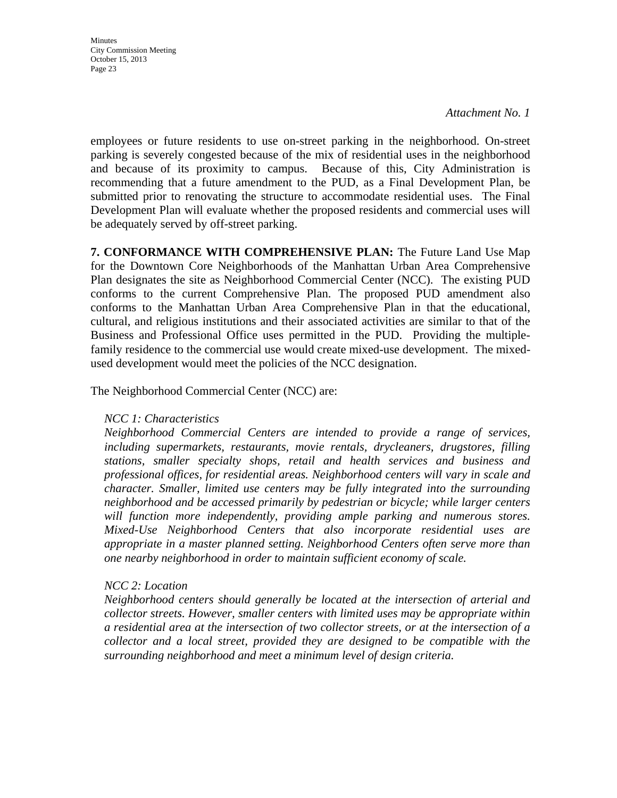*Attachment No. 1*

employees or future residents to use on-street parking in the neighborhood. On-street parking is severely congested because of the mix of residential uses in the neighborhood and because of its proximity to campus. Because of this, City Administration is recommending that a future amendment to the PUD, as a Final Development Plan, be submitted prior to renovating the structure to accommodate residential uses. The Final Development Plan will evaluate whether the proposed residents and commercial uses will be adequately served by off-street parking.

**7. CONFORMANCE WITH COMPREHENSIVE PLAN:** The Future Land Use Map for the Downtown Core Neighborhoods of the Manhattan Urban Area Comprehensive Plan designates the site as Neighborhood Commercial Center (NCC). The existing PUD conforms to the current Comprehensive Plan. The proposed PUD amendment also conforms to the Manhattan Urban Area Comprehensive Plan in that the educational, cultural, and religious institutions and their associated activities are similar to that of the Business and Professional Office uses permitted in the PUD. Providing the multiplefamily residence to the commercial use would create mixed-use development. The mixedused development would meet the policies of the NCC designation.

The Neighborhood Commercial Center (NCC) are:

#### *NCC 1: Characteristics*

*Neighborhood Commercial Centers are intended to provide a range of services, including supermarkets, restaurants, movie rentals, drycleaners, drugstores, filling stations, smaller specialty shops, retail and health services and business and professional offices, for residential areas. Neighborhood centers will vary in scale and character. Smaller, limited use centers may be fully integrated into the surrounding neighborhood and be accessed primarily by pedestrian or bicycle; while larger centers will function more independently, providing ample parking and numerous stores. Mixed-Use Neighborhood Centers that also incorporate residential uses are appropriate in a master planned setting. Neighborhood Centers often serve more than one nearby neighborhood in order to maintain sufficient economy of scale.* 

#### *NCC 2: Location*

*Neighborhood centers should generally be located at the intersection of arterial and collector streets. However, smaller centers with limited uses may be appropriate within a residential area at the intersection of two collector streets, or at the intersection of a collector and a local street, provided they are designed to be compatible with the surrounding neighborhood and meet a minimum level of design criteria.*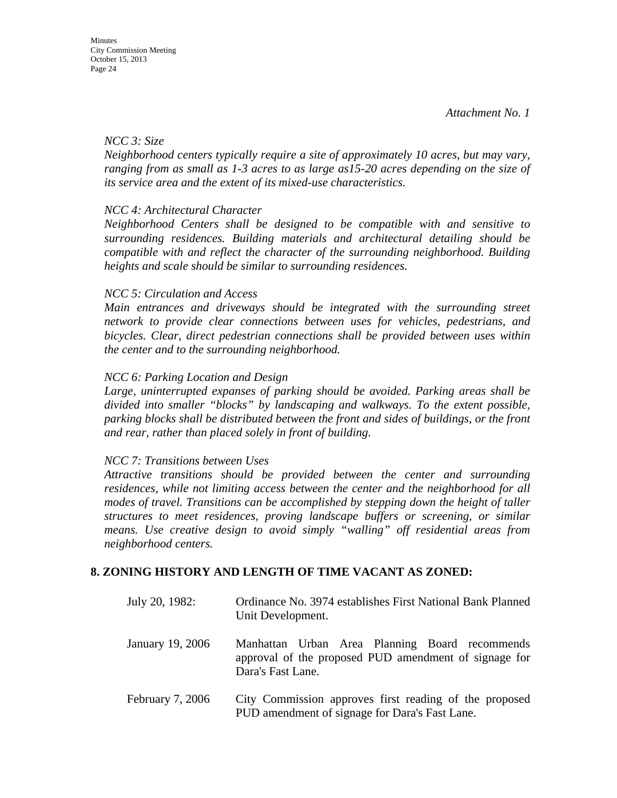#### *NCC 3: Size*

*Neighborhood centers typically require a site of approximately 10 acres, but may vary, ranging from as small as 1-3 acres to as large as15-20 acres depending on the size of its service area and the extent of its mixed-use characteristics.* 

#### *NCC 4: Architectural Character*

*Neighborhood Centers shall be designed to be compatible with and sensitive to surrounding residences. Building materials and architectural detailing should be compatible with and reflect the character of the surrounding neighborhood. Building heights and scale should be similar to surrounding residences.* 

#### *NCC 5: Circulation and Access*

*Main entrances and driveways should be integrated with the surrounding street network to provide clear connections between uses for vehicles, pedestrians, and bicycles. Clear, direct pedestrian connections shall be provided between uses within the center and to the surrounding neighborhood.* 

#### *NCC 6: Parking Location and Design*

*Large, uninterrupted expanses of parking should be avoided. Parking areas shall be divided into smaller "blocks" by landscaping and walkways. To the extent possible, parking blocks shall be distributed between the front and sides of buildings, or the front and rear, rather than placed solely in front of building.* 

#### *NCC 7: Transitions between Uses*

*Attractive transitions should be provided between the center and surrounding residences, while not limiting access between the center and the neighborhood for all modes of travel. Transitions can be accomplished by stepping down the height of taller structures to meet residences, proving landscape buffers or screening, or similar means. Use creative design to avoid simply "walling" off residential areas from neighborhood centers.* 

#### **8. ZONING HISTORY AND LENGTH OF TIME VACANT AS ZONED:**

| July 20, 1982:   | Ordinance No. 3974 establishes First National Bank Planned<br>Unit Development.                                              |
|------------------|------------------------------------------------------------------------------------------------------------------------------|
| January 19, 2006 | Manhattan Urban Area Planning Board recommends<br>approval of the proposed PUD amendment of signage for<br>Dara's Fast Lane. |
| February 7, 2006 | City Commission approves first reading of the proposed<br>PUD amendment of signage for Dara's Fast Lane.                     |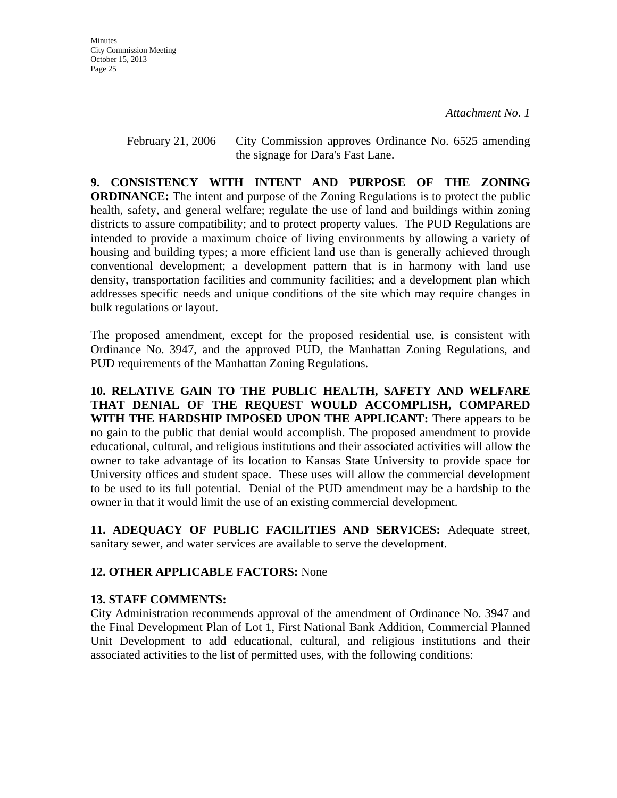February 21, 2006 City Commission approves Ordinance No. 6525 amending the signage for Dara's Fast Lane.

**9. CONSISTENCY WITH INTENT AND PURPOSE OF THE ZONING ORDINANCE:** The intent and purpose of the Zoning Regulations is to protect the public health, safety, and general welfare; regulate the use of land and buildings within zoning districts to assure compatibility; and to protect property values. The PUD Regulations are intended to provide a maximum choice of living environments by allowing a variety of housing and building types; a more efficient land use than is generally achieved through conventional development; a development pattern that is in harmony with land use density, transportation facilities and community facilities; and a development plan which addresses specific needs and unique conditions of the site which may require changes in bulk regulations or layout.

The proposed amendment, except for the proposed residential use, is consistent with Ordinance No. 3947, and the approved PUD, the Manhattan Zoning Regulations, and PUD requirements of the Manhattan Zoning Regulations.

**10. RELATIVE GAIN TO THE PUBLIC HEALTH, SAFETY AND WELFARE THAT DENIAL OF THE REQUEST WOULD ACCOMPLISH, COMPARED WITH THE HARDSHIP IMPOSED UPON THE APPLICANT:** There appears to be no gain to the public that denial would accomplish. The proposed amendment to provide educational, cultural, and religious institutions and their associated activities will allow the owner to take advantage of its location to Kansas State University to provide space for University offices and student space. These uses will allow the commercial development to be used to its full potential. Denial of the PUD amendment may be a hardship to the owner in that it would limit the use of an existing commercial development.

**11. ADEQUACY OF PUBLIC FACILITIES AND SERVICES:** Adequate street, sanitary sewer, and water services are available to serve the development.

#### **12. OTHER APPLICABLE FACTORS:** None

#### **13. STAFF COMMENTS:**

City Administration recommends approval of the amendment of Ordinance No. 3947 and the Final Development Plan of Lot 1, First National Bank Addition, Commercial Planned Unit Development to add educational, cultural, and religious institutions and their associated activities to the list of permitted uses, with the following conditions: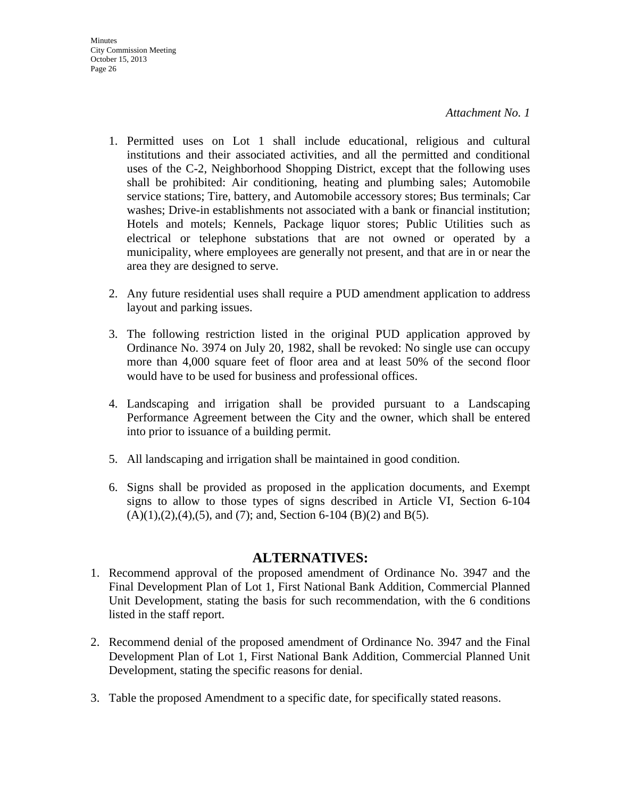- 1. Permitted uses on Lot 1 shall include educational, religious and cultural institutions and their associated activities, and all the permitted and conditional uses of the C-2, Neighborhood Shopping District, except that the following uses shall be prohibited: Air conditioning, heating and plumbing sales; Automobile service stations; Tire, battery, and Automobile accessory stores; Bus terminals; Car washes; Drive-in establishments not associated with a bank or financial institution; Hotels and motels; Kennels, Package liquor stores; Public Utilities such as electrical or telephone substations that are not owned or operated by a municipality, where employees are generally not present, and that are in or near the area they are designed to serve.
- 2. Any future residential uses shall require a PUD amendment application to address layout and parking issues.
- 3. The following restriction listed in the original PUD application approved by Ordinance No. 3974 on July 20, 1982, shall be revoked: No single use can occupy more than 4,000 square feet of floor area and at least 50% of the second floor would have to be used for business and professional offices.
- 4. Landscaping and irrigation shall be provided pursuant to a Landscaping Performance Agreement between the City and the owner, which shall be entered into prior to issuance of a building permit.
- 5. All landscaping and irrigation shall be maintained in good condition.
- 6. Signs shall be provided as proposed in the application documents, and Exempt signs to allow to those types of signs described in Article VI, Section 6-104  $(A)(1),(2),(4),(5)$ , and  $(7)$ ; and, Section 6-104  $(B)(2)$  and  $B(5)$ .

## **ALTERNATIVES:**

- 1. Recommend approval of the proposed amendment of Ordinance No. 3947 and the Final Development Plan of Lot 1, First National Bank Addition, Commercial Planned Unit Development, stating the basis for such recommendation, with the 6 conditions listed in the staff report.
- 2. Recommend denial of the proposed amendment of Ordinance No. 3947 and the Final Development Plan of Lot 1, First National Bank Addition, Commercial Planned Unit Development, stating the specific reasons for denial.
- 3. Table the proposed Amendment to a specific date, for specifically stated reasons.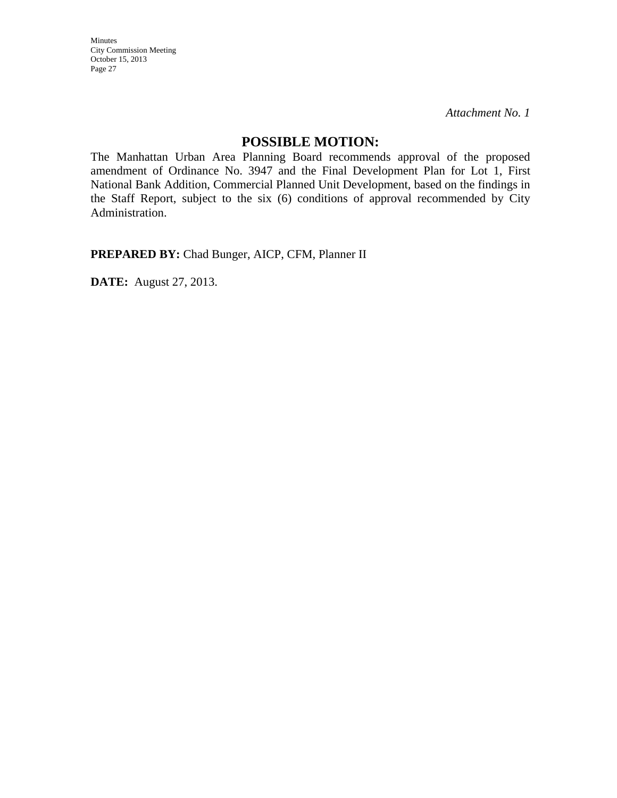*Attachment No. 1*

#### **POSSIBLE MOTION:**

The Manhattan Urban Area Planning Board recommends approval of the proposed amendment of Ordinance No. 3947 and the Final Development Plan for Lot 1, First National Bank Addition, Commercial Planned Unit Development, based on the findings in the Staff Report, subject to the six (6) conditions of approval recommended by City Administration.

**PREPARED BY:** Chad Bunger, AICP, CFM, Planner II

**DATE:** August 27, 2013.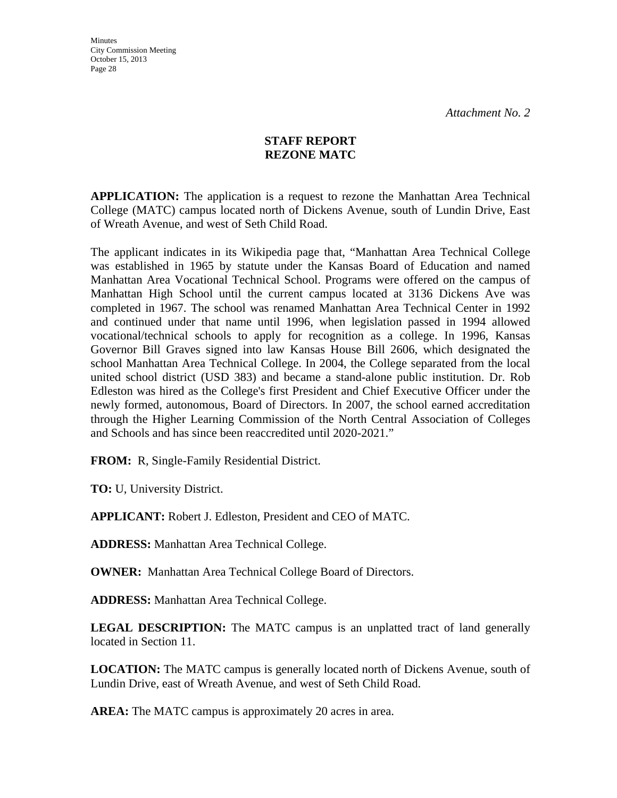#### **STAFF REPORT REZONE MATC**

**APPLICATION:** The application is a request to rezone the Manhattan Area Technical College (MATC) campus located north of Dickens Avenue, south of Lundin Drive, East of Wreath Avenue, and west of Seth Child Road.

The applicant indicates in its Wikipedia page that, "Manhattan Area Technical College was established in 1965 by statute under the Kansas Board of Education and named Manhattan Area Vocational Technical School. Programs were offered on the campus of Manhattan High School until the current campus located at 3136 Dickens Ave was completed in 1967. The school was renamed Manhattan Area Technical Center in 1992 and continued under that name until 1996, when legislation passed in 1994 allowed vocational/technical schools to apply for recognition as a college. In 1996, Kansas Governor Bill Graves signed into law Kansas House Bill 2606, which designated the school Manhattan Area Technical College. In 2004, the College separated from the local united school district (USD 383) and became a stand-alone public institution. Dr. Rob Edleston was hired as the College's first President and Chief Executive Officer under the newly formed, autonomous, Board of Directors. In 2007, the school earned accreditation through the Higher Learning Commission of the North Central Association of Colleges and Schools and has since been reaccredited until 2020-2021."

**FROM:** R, Single-Family Residential District.

**TO:** U, University District.

**APPLICANT:** Robert J. Edleston, President and CEO of MATC.

**ADDRESS:** Manhattan Area Technical College.

**OWNER:** Manhattan Area Technical College Board of Directors.

**ADDRESS:** Manhattan Area Technical College.

**LEGAL DESCRIPTION:** The MATC campus is an unplatted tract of land generally located in Section 11.

**LOCATION:** The MATC campus is generally located north of Dickens Avenue, south of Lundin Drive, east of Wreath Avenue, and west of Seth Child Road.

**AREA:** The MATC campus is approximately 20 acres in area.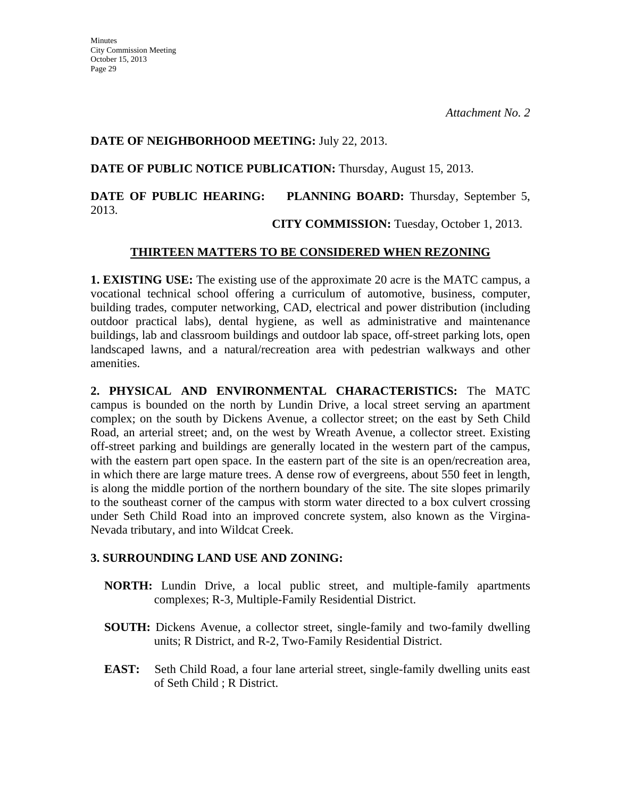#### **DATE OF NEIGHBORHOOD MEETING:** July 22, 2013.

**DATE OF PUBLIC NOTICE PUBLICATION:** Thursday, August 15, 2013.

## **DATE OF PUBLIC HEARING: PLANNING BOARD:** Thursday, September 5, 2013.

**CITY COMMISSION:** Tuesday, October 1, 2013.

#### **THIRTEEN MATTERS TO BE CONSIDERED WHEN REZONING**

**1. EXISTING USE:** The existing use of the approximate 20 acre is the MATC campus, a vocational technical school offering a curriculum of automotive, business, computer, building trades, computer networking, CAD, electrical and power distribution (including outdoor practical labs), dental hygiene, as well as administrative and maintenance buildings, lab and classroom buildings and outdoor lab space, off-street parking lots, open landscaped lawns, and a natural/recreation area with pedestrian walkways and other amenities.

**2. PHYSICAL AND ENVIRONMENTAL CHARACTERISTICS:** The MATC campus is bounded on the north by Lundin Drive, a local street serving an apartment complex; on the south by Dickens Avenue, a collector street; on the east by Seth Child Road, an arterial street; and, on the west by Wreath Avenue, a collector street. Existing off-street parking and buildings are generally located in the western part of the campus, with the eastern part open space. In the eastern part of the site is an open/recreation area, in which there are large mature trees. A dense row of evergreens, about 550 feet in length, is along the middle portion of the northern boundary of the site. The site slopes primarily to the southeast corner of the campus with storm water directed to a box culvert crossing under Seth Child Road into an improved concrete system, also known as the Virgina-Nevada tributary, and into Wildcat Creek.

## **3. SURROUNDING LAND USE AND ZONING:**

- **NORTH:** Lundin Drive, a local public street, and multiple-family apartments complexes; R-3, Multiple-Family Residential District.
- **SOUTH:** Dickens Avenue, a collector street, single-family and two-family dwelling units; R District, and R-2, Two-Family Residential District.
- **EAST:** Seth Child Road, a four lane arterial street, single-family dwelling units east of Seth Child ; R District.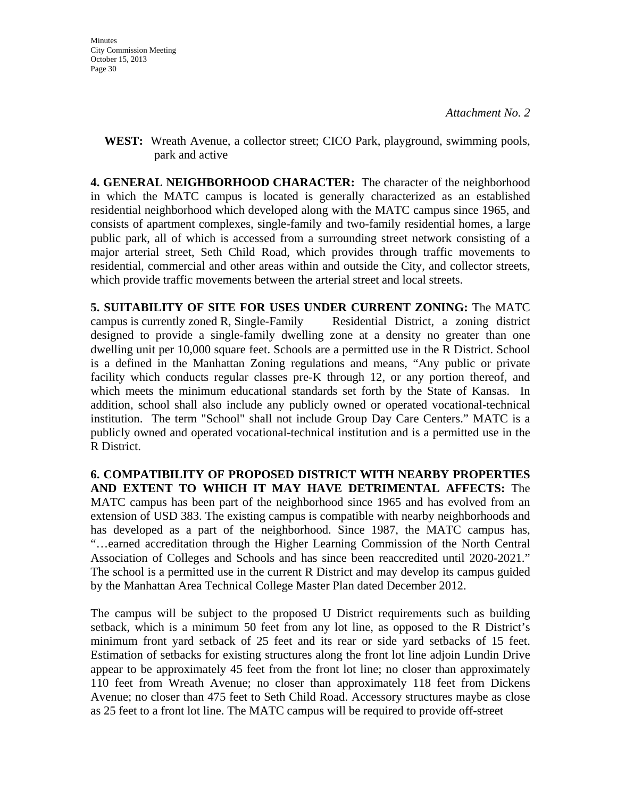**WEST:** Wreath Avenue, a collector street; CICO Park, playground, swimming pools, park and active

**4. GENERAL NEIGHBORHOOD CHARACTER:** The character of the neighborhood in which the MATC campus is located is generally characterized as an established residential neighborhood which developed along with the MATC campus since 1965, and consists of apartment complexes, single-family and two-family residential homes, a large public park, all of which is accessed from a surrounding street network consisting of a major arterial street, Seth Child Road, which provides through traffic movements to residential, commercial and other areas within and outside the City, and collector streets, which provide traffic movements between the arterial street and local streets.

**5. SUITABILITY OF SITE FOR USES UNDER CURRENT ZONING:** The MATC campus is currently zoned R, Single-Family Residential District, a zoning district designed to provide a single-family dwelling zone at a density no greater than one dwelling unit per 10,000 square feet. Schools are a permitted use in the R District. School is a defined in the Manhattan Zoning regulations and means, "Any public or private facility which conducts regular classes pre-K through 12, or any portion thereof, and which meets the minimum educational standards set forth by the State of Kansas. In addition, school shall also include any publicly owned or operated vocational-technical institution. The term "School" shall not include Group Day Care Centers." MATC is a publicly owned and operated vocational-technical institution and is a permitted use in the R District.

**6. COMPATIBILITY OF PROPOSED DISTRICT WITH NEARBY PROPERTIES AND EXTENT TO WHICH IT MAY HAVE DETRIMENTAL AFFECTS:** The MATC campus has been part of the neighborhood since 1965 and has evolved from an extension of USD 383. The existing campus is compatible with nearby neighborhoods and has developed as a part of the neighborhood. Since 1987, the MATC campus has, "…earned accreditation through the Higher Learning Commission of the North Central Association of Colleges and Schools and has since been reaccredited until 2020-2021." The school is a permitted use in the current R District and may develop its campus guided by the Manhattan Area Technical College Master Plan dated December 2012.

The campus will be subject to the proposed U District requirements such as building setback, which is a minimum 50 feet from any lot line, as opposed to the R District's minimum front yard setback of 25 feet and its rear or side yard setbacks of 15 feet. Estimation of setbacks for existing structures along the front lot line adjoin Lundin Drive appear to be approximately 45 feet from the front lot line; no closer than approximately 110 feet from Wreath Avenue; no closer than approximately 118 feet from Dickens Avenue; no closer than 475 feet to Seth Child Road. Accessory structures maybe as close as 25 feet to a front lot line. The MATC campus will be required to provide off-street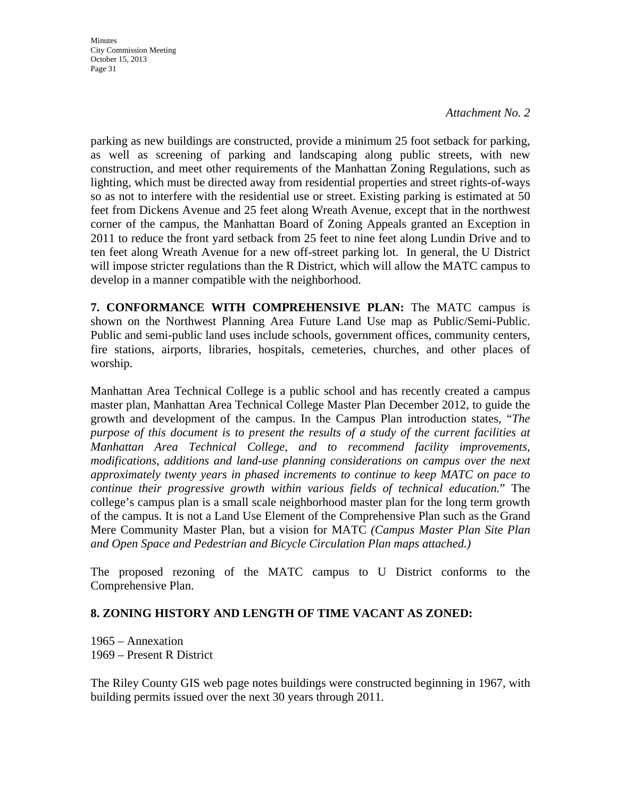#### *Attachment No. 2*

parking as new buildings are constructed, provide a minimum 25 foot setback for parking, as well as screening of parking and landscaping along public streets, with new construction, and meet other requirements of the Manhattan Zoning Regulations, such as lighting, which must be directed away from residential properties and street rights-of-ways so as not to interfere with the residential use or street. Existing parking is estimated at 50 feet from Dickens Avenue and 25 feet along Wreath Avenue, except that in the northwest corner of the campus, the Manhattan Board of Zoning Appeals granted an Exception in 2011 to reduce the front yard setback from 25 feet to nine feet along Lundin Drive and to ten feet along Wreath Avenue for a new off-street parking lot. In general, the U District will impose stricter regulations than the R District, which will allow the MATC campus to develop in a manner compatible with the neighborhood.

**7. CONFORMANCE WITH COMPREHENSIVE PLAN:** The MATC campus is shown on the Northwest Planning Area Future Land Use map as Public/Semi-Public. Public and semi-public land uses include schools, government offices, community centers, fire stations, airports, libraries, hospitals, cemeteries, churches, and other places of worship.

Manhattan Area Technical College is a public school and has recently created a campus master plan, Manhattan Area Technical College Master Plan December 2012, to guide the growth and development of the campus. In the Campus Plan introduction states, "*The purpose of this document is to present the results of a study of the current facilities at Manhattan Area Technical College, and to recommend facility improvements, modifications, additions and land-use planning considerations on campus over the next approximately twenty years in phased increments to continue to keep MATC on pace to continue their progressive growth within various fields of technical education.*" The college's campus plan is a small scale neighborhood master plan for the long term growth of the campus. It is not a Land Use Element of the Comprehensive Plan such as the Grand Mere Community Master Plan, but a vision for MATC *(Campus Master Plan Site Plan and Open Space and Pedestrian and Bicycle Circulation Plan maps attached.)* 

The proposed rezoning of the MATC campus to U District conforms to the Comprehensive Plan.

#### **8. ZONING HISTORY AND LENGTH OF TIME VACANT AS ZONED:**

1965 – Annexation 1969 – Present R District

The Riley County GIS web page notes buildings were constructed beginning in 1967, with building permits issued over the next 30 years through 2011.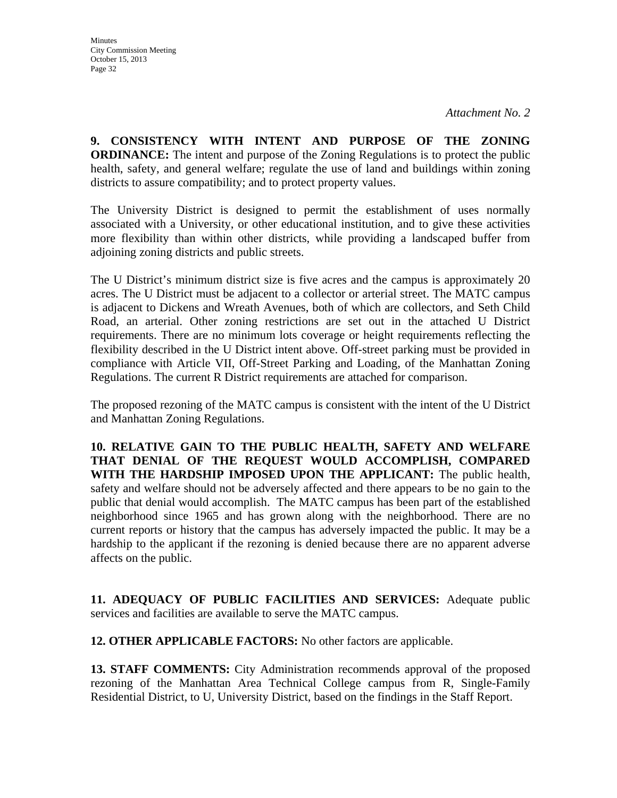**9. CONSISTENCY WITH INTENT AND PURPOSE OF THE ZONING ORDINANCE:** The intent and purpose of the Zoning Regulations is to protect the public health, safety, and general welfare; regulate the use of land and buildings within zoning districts to assure compatibility; and to protect property values.

The University District is designed to permit the establishment of uses normally associated with a University, or other educational institution, and to give these activities more flexibility than within other districts, while providing a landscaped buffer from adjoining zoning districts and public streets.

The U District's minimum district size is five acres and the campus is approximately 20 acres. The U District must be adjacent to a collector or arterial street. The MATC campus is adjacent to Dickens and Wreath Avenues, both of which are collectors, and Seth Child Road, an arterial. Other zoning restrictions are set out in the attached U District requirements. There are no minimum lots coverage or height requirements reflecting the flexibility described in the U District intent above. Off-street parking must be provided in compliance with Article VII, Off-Street Parking and Loading, of the Manhattan Zoning Regulations. The current R District requirements are attached for comparison.

The proposed rezoning of the MATC campus is consistent with the intent of the U District and Manhattan Zoning Regulations.

**10. RELATIVE GAIN TO THE PUBLIC HEALTH, SAFETY AND WELFARE THAT DENIAL OF THE REQUEST WOULD ACCOMPLISH, COMPARED WITH THE HARDSHIP IMPOSED UPON THE APPLICANT:** The public health, safety and welfare should not be adversely affected and there appears to be no gain to the public that denial would accomplish. The MATC campus has been part of the established neighborhood since 1965 and has grown along with the neighborhood. There are no current reports or history that the campus has adversely impacted the public. It may be a hardship to the applicant if the rezoning is denied because there are no apparent adverse affects on the public.

**11. ADEQUACY OF PUBLIC FACILITIES AND SERVICES:** Adequate public services and facilities are available to serve the MATC campus.

**12. OTHER APPLICABLE FACTORS:** No other factors are applicable.

**13. STAFF COMMENTS:** City Administration recommends approval of the proposed rezoning of the Manhattan Area Technical College campus from R, Single-Family Residential District, to U, University District, based on the findings in the Staff Report.